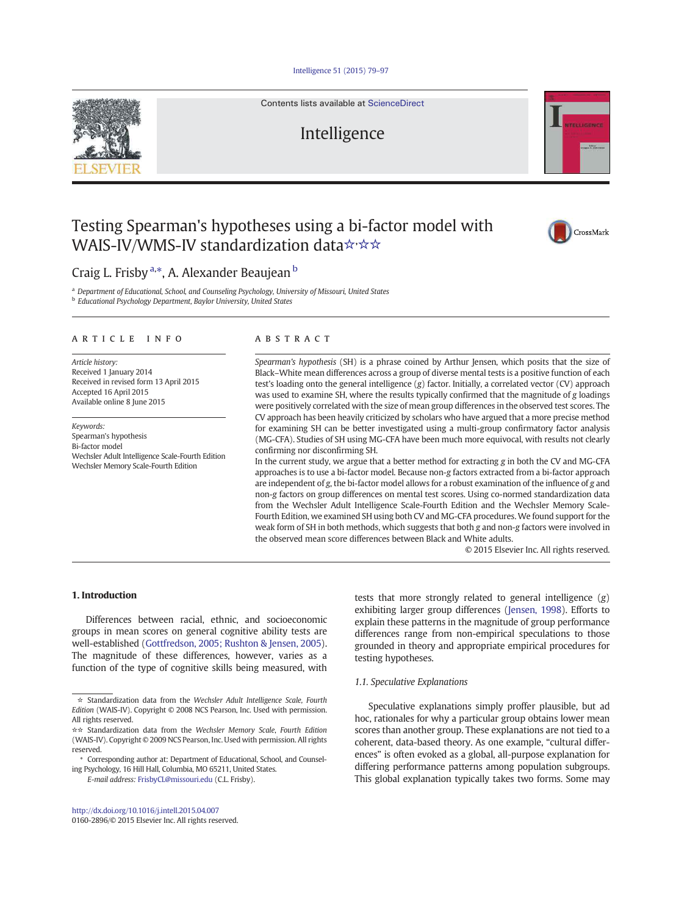Intelligence 51 (2015) 79–97



Contents lists available at ScienceDirect

Intelligence



# Testing Spearman's hypotheses using a bi-factor model with WAIS-IV/WMS-IV standardization data☆☆☆



# Craig L. Frisby <sup>a,\*</sup>, A. Alexander Beaujean <sup>b</sup>

<sup>a</sup> *Department of Educational, School, and Counseling Psychology, University of Missouri, United States* b *Educational Psychology Department, Baylor University, United States*

#### article info abstract

*Article history:* Received 1 January 2014 Received in revised form 13 April 2015 Accepted 16 April 2015 Available online 8 June 2015

*Keywords:* Spearman's hypothesis Bi-factor model Wechsler Adult Intelligence Scale-Fourth Edition Wechsler Memory Scale-Fourth Edition

*Spearman's hypothesis* (SH) is a phrase coined by Arthur Jensen, which posits that the size of Black–White mean differences across a group of diverse mental tests is a positive function of each test's loading onto the general intelligence (*g*) factor. Initially, a correlated vector (CV) approach was used to examine SH, where the results typically confirmed that the magnitude of *g* loadings were positively correlated with the size of mean group differences in the observed test scores. The CV approach has been heavily criticized by scholars who have argued that a more precise method for examining SH can be better investigated using a multi-group confirmatory factor analysis (MG-CFA). Studies of SH using MG-CFA have been much more equivocal, with results not clearly confirming nor disconfirming SH.

In the current study, we argue that a better method for extracting *g* in both the CV and MG-CFA approaches is to use a bi-factor model. Because non-*g* factors extracted from a bi-factor approach are independent of *g*, the bi-factor model allows for a robust examination of the influence of *g* and non-*g* factors on group differences on mental test scores. Using co-normed standardization data from the Wechsler Adult Intelligence Scale-Fourth Edition and the Wechsler Memory Scale-Fourth Edition, we examined SH using both CV and MG-CFA procedures. We found support for the weak form of SH in both methods, which suggests that both *g* and non-*g* factors were involved in the observed mean score differences between Black and White adults.

© 2015 Elsevier Inc. All rights reserved.

#### 1. Introduction

Differences between racial, ethnic, and socioeconomic groups in mean scores on general cognitive ability tests are well-established (Gottfredson, 2005; Rushton & Jensen, 2005). The magnitude of these differences, however, varies as a function of the type of cognitive skills being measured, with

*E-mail address:* FrisbyCL@missouri.edu (C.L. Frisby).

tests that more strongly related to general intelligence (*g*) exhibiting larger group differences (Jensen, 1998). Efforts to explain these patterns in the magnitude of group performance differences range from non-empirical speculations to those grounded in theory and appropriate empirical procedures for testing hypotheses.

#### *1.1. Speculative Explanations*

Speculative explanations simply proffer plausible, but ad hoc, rationales for why a particular group obtains lower mean scores than another group. These explanations are not tied to a coherent, data-based theory. As one example, "cultural differences" is often evoked as a global, all-purpose explanation for differing performance patterns among population subgroups. This global explanation typically takes two forms. Some may

<sup>☆</sup> Standardization data from the *Wechsler Adult Intelligence Scale, Fourth Edition* (WAIS-IV). Copyright © 2008 NCS Pearson, Inc. Used with permission. All rights reserved.

<sup>☆☆</sup> Standardization data from the *Wechsler Memory Scale*, *Fourth Edition* (WAIS-IV). Copyright © 2009 NCS Pearson, Inc. Used with permission. All rights reserved.

<sup>⁎</sup> Corresponding author at: Department of Educational, School, and Counseling Psychology, 16 Hill Hall, Columbia, MO 65211, United States.

http://dx.doi.org/10.1016/j.intell.2015.04.007 0160-2896/© 2015 Elsevier Inc. All rights reserved.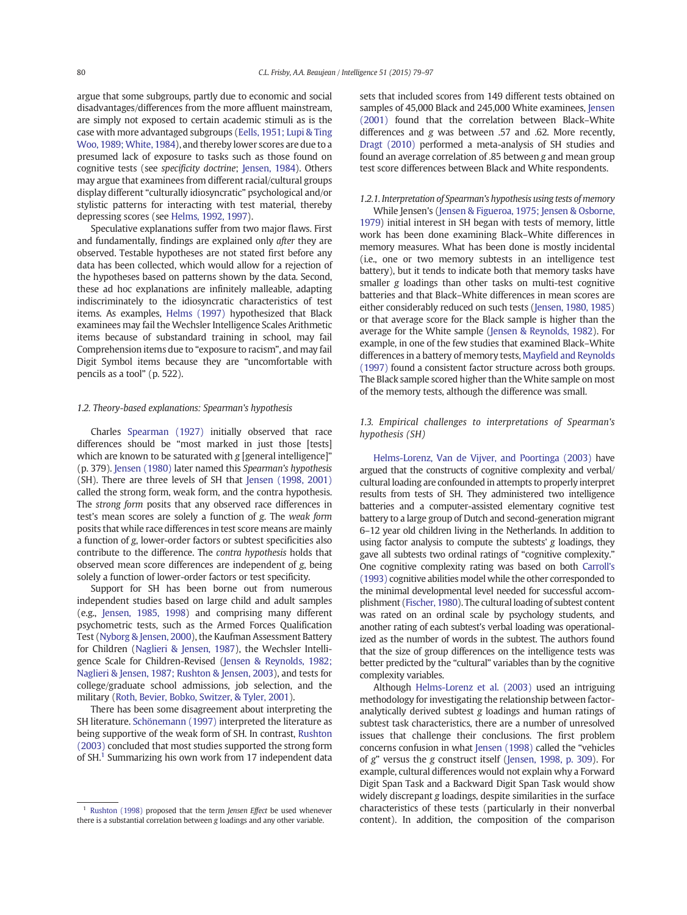argue that some subgroups, partly due to economic and social disadvantages/differences from the more affluent mainstream, are simply not exposed to certain academic stimuli as is the case with more advantaged subgroups (Eells, 1951; Lupi & Ting Woo, 1989; White, 1984), and thereby lower scores are due to a presumed lack of exposure to tasks such as those found on cognitive tests (see *specificity doctrine*; Jensen, 1984). Others may argue that examinees from different racial/cultural groups display different "culturally idiosyncratic" psychological and/or stylistic patterns for interacting with test material, thereby depressing scores (see Helms, 1992, 1997).

Speculative explanations suffer from two major flaws. First and fundamentally, findings are explained only *after* they are observed. Testable hypotheses are not stated first before any data has been collected, which would allow for a rejection of the hypotheses based on patterns shown by the data. Second, these ad hoc explanations are infinitely malleable, adapting indiscriminately to the idiosyncratic characteristics of test items. As examples, Helms (1997) hypothesized that Black examinees may fail the Wechsler Intelligence Scales Arithmetic items because of substandard training in school, may fail Comprehension items due to "exposure to racism", and may fail Digit Symbol items because they are "uncomfortable with pencils as a tool" (p. 522).

#### *1.2. Theory-based explanations: Spearman's hypothesis*

Charles Spearman (1927) initially observed that race differences should be "most marked in just those [tests] which are known to be saturated with *g* [general intelligence]" (p. 379). Jensen (1980) later named this *Spearman's hypothesis* (SH). There are three levels of SH that Jensen (1998, 2001) called the strong form, weak form, and the contra hypothesis. The *strong form* posits that any observed race differences in test's mean scores are solely a function of *g*. The *weak form* posits that while race differences in test score means are mainly a function of *g*, lower-order factors or subtest specificities also contribute to the difference. The *contra hypothesis* holds that observed mean score differences are independent of *g*, being solely a function of lower-order factors or test specificity.

Support for SH has been borne out from numerous independent studies based on large child and adult samples (e.g., Jensen, 1985, 1998) and comprising many different psychometric tests, such as the Armed Forces Qualification Test (Nyborg & Jensen, 2000), the Kaufman Assessment Battery for Children (Naglieri & Jensen, 1987), the Wechsler Intelligence Scale for Children-Revised (Jensen & Reynolds, 1982; Naglieri & Jensen, 1987; Rushton & Jensen, 2003), and tests for college/graduate school admissions, job selection, and the military (Roth, Bevier, Bobko, Switzer, & Tyler, 2001).

There has been some disagreement about interpreting the SH literature. Schönemann (1997) interpreted the literature as being supportive of the weak form of SH. In contrast, Rushton (2003) concluded that most studies supported the strong form of SH.<sup>1</sup> Summarizing his own work from 17 independent data

sets that included scores from 149 different tests obtained on samples of 45,000 Black and 245,000 White examinees, Jensen (2001) found that the correlation between Black–White differences and *g* was between .57 and .62. More recently, Dragt (2010) performed a meta-analysis of SH studies and found an average correlation of .85 between *g* and mean group test score differences between Black and White respondents.

# *1.2.1. Interpretation of Spearman's hypothesis using tests of memory*

While Jensen's (Jensen & Figueroa, 1975; Jensen & Osborne, 1979) initial interest in SH began with tests of memory, little work has been done examining Black–White differences in memory measures. What has been done is mostly incidental (i.e., one or two memory subtests in an intelligence test battery), but it tends to indicate both that memory tasks have smaller *g* loadings than other tasks on multi-test cognitive batteries and that Black–White differences in mean scores are either considerably reduced on such tests (Jensen, 1980, 1985) or that average score for the Black sample is higher than the average for the White sample (Jensen & Reynolds, 1982). For example, in one of the few studies that examined Black–White differences in a battery of memory tests, Mayfield and Reynolds (1997) found a consistent factor structure across both groups. The Black sample scored higher than theWhite sample on most of the memory tests, although the difference was small.

# *1.3. Empirical challenges to interpretations of Spearman's hypothesis (SH)*

Helms-Lorenz, Van de Vijver, and Poortinga (2003) have argued that the constructs of cognitive complexity and verbal/ cultural loading are confounded in attempts to properly interpret results from tests of SH. They administered two intelligence batteries and a computer-assisted elementary cognitive test battery to a large group of Dutch and second-generation migrant 6–12 year old children living in the Netherlands. In addition to using factor analysis to compute the subtests' *g* loadings, they gave all subtests two ordinal ratings of "cognitive complexity." One cognitive complexity rating was based on both Carroll's (1993) cognitive abilities model while the other corresponded to the minimal developmental level needed for successful accomplishment (Fischer, 1980). The cultural loading of subtest content was rated on an ordinal scale by psychology students, and another rating of each subtest's verbal loading was operationalized as the number of words in the subtest. The authors found that the size of group differences on the intelligence tests was better predicted by the "cultural" variables than by the cognitive complexity variables.

Although Helms-Lorenz et al. (2003) used an intriguing methodology for investigating the relationship between factoranalytically derived subtest *g* loadings and human ratings of subtest task characteristics, there are a number of unresolved issues that challenge their conclusions. The first problem concerns confusion in what Jensen (1998) called the "vehicles of *g*" versus the *g* construct itself (Jensen, 1998, p. 309). For example, cultural differences would not explain why a Forward Digit Span Task and a Backward Digit Span Task would show widely discrepant *g* loadings, despite similarities in the surface characteristics of these tests (particularly in their nonverbal content). In addition, the composition of the comparison

<sup>1</sup> Rushton (1998) proposed that the term *Jensen Effect* be used whenever there is a substantial correlation between *g* loadings and any other variable.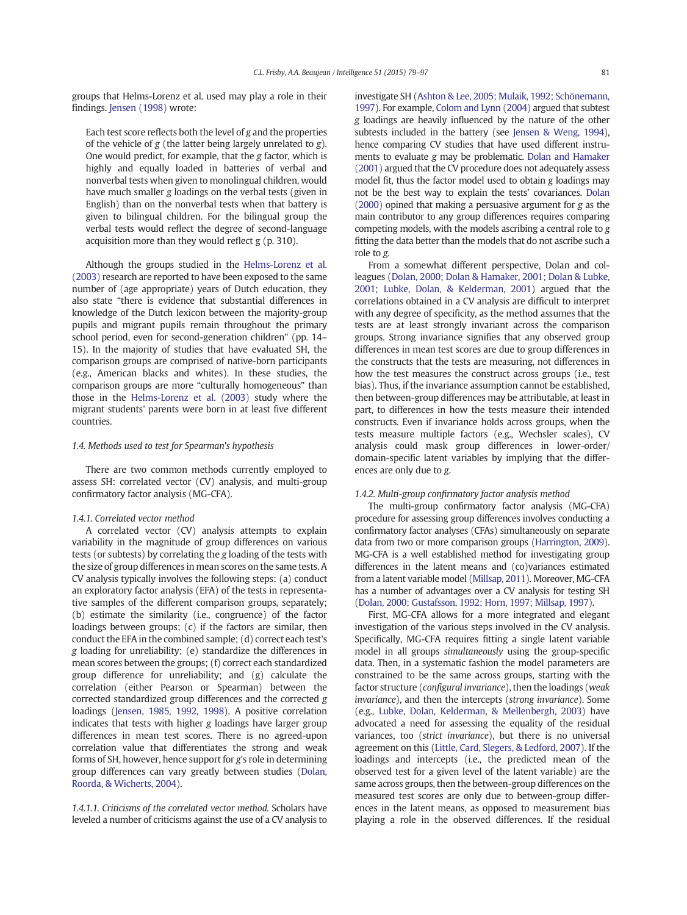groups that Helms-Lorenz et al. used may play a role in their findings. Jensen (1998) wrote:

Each test score reflects both the level of *g* and the properties of the vehicle of *g* (the latter being largely unrelated to *g*). One would predict, for example, that the *g* factor, which is highly and equally loaded in batteries of verbal and nonverbal tests when given to monolingual children, would have much smaller *g* loadings on the verbal tests (given in English) than on the nonverbal tests when that battery is given to bilingual children. For the bilingual group the verbal tests would reflect the degree of second-language acquisition more than they would reflect g (p. 310).

Although the groups studied in the Helms-Lorenz et al. (2003) research are reported to have been exposed to the same number of (age appropriate) years of Dutch education, they also state "there is evidence that substantial differences in knowledge of the Dutch lexicon between the majority-group pupils and migrant pupils remain throughout the primary school period, even for second-generation children" (pp. 14– 15). In the majority of studies that have evaluated SH, the comparison groups are comprised of native-born participants (e.g., American blacks and whites). In these studies, the comparison groups are more "culturally homogeneous" than those in the Helms-Lorenz et al. (2003) study where the migrant students' parents were born in at least five different countries.

#### *1.4. Methods used to test for Spearman's hypothesis*

There are two common methods currently employed to assess SH: correlated vector (CV) analysis, and multi-group confirmatory factor analysis (MG-CFA).

#### *1.4.1. Correlated vector method*

A correlated vector (CV) analysis attempts to explain variability in the magnitude of group differences on various tests (or subtests) by correlating the *g* loading of the tests with the size of group differences in mean scores on the same tests. A CV analysis typically involves the following steps: (a) conduct an exploratory factor analysis (EFA) of the tests in representative samples of the different comparison groups, separately; (b) estimate the similarity (i.e., congruence) of the factor loadings between groups; (c) if the factors are similar, then conduct the EFA in the combined sample; (d) correct each test's *g* loading for unreliability; (e) standardize the differences in mean scores between the groups; (f) correct each standardized group difference for unreliability; and (g) calculate the correlation (either Pearson or Spearman) between the corrected standardized group differences and the corrected *g* loadings (Jensen, 1985, 1992, 1998). A positive correlation indicates that tests with higher *g* loadings have larger group differences in mean test scores. There is no agreed-upon correlation value that differentiates the strong and weak forms of SH, however, hence support for *g*'s role in determining group differences can vary greatly between studies (Dolan, Roorda, & Wicherts, 2004).

*1.4.1.1. Criticisms of the correlated vector method.* Scholars have leveled a number of criticisms against the use of a CV analysis to

investigate SH (Ashton & Lee, 2005; Mulaik, 1992; Schönemann, 1997). For example, Colom and Lynn (2004) argued that subtest *g* loadings are heavily influenced by the nature of the other subtests included in the battery (see Jensen & Weng, 1994), hence comparing CV studies that have used different instruments to evaluate *g* may be problematic. Dolan and Hamaker (2001) argued that the CV procedure does not adequately assess model fit, thus the factor model used to obtain *g* loadings may not be the best way to explain the tests' covariances. Dolan (2000) opined that making a persuasive argument for *g* as the main contributor to any group differences requires comparing competing models, with the models ascribing a central role to *g* fitting the data better than the models that do not ascribe such a role to *g*.

From a somewhat different perspective, Dolan and colleagues (Dolan, 2000; Dolan & Hamaker, 2001; Dolan & Lubke, 2001; Lubke, Dolan, & Kelderman, 2001) argued that the correlations obtained in a CV analysis are difficult to interpret with any degree of specificity, as the method assumes that the tests are at least strongly invariant across the comparison groups. Strong invariance signifies that any observed group differences in mean test scores are due to group differences in the constructs that the tests are measuring, not differences in how the test measures the construct across groups (i.e., test bias). Thus, if the invariance assumption cannot be established, then between-group differences may be attributable, at least in part, to differences in how the tests measure their intended constructs. Even if invariance holds across groups, when the tests measure multiple factors (e.g., Wechsler scales), CV analysis could mask group differences in lower-order/ domain-specific latent variables by implying that the differences are only due to *g*.

#### *1.4.2. Multi-group con*fi*rmatory factor analysis method*

The multi-group confirmatory factor analysis (MG-CFA) procedure for assessing group differences involves conducting a confirmatory factor analyses (CFAs) simultaneously on separate data from two or more comparison groups (Harrington, 2009). MG-CFA is a well established method for investigating group differences in the latent means and (co)variances estimated from a latent variable model (Millsap, 2011). Moreover, MG-CFA has a number of advantages over a CV analysis for testing SH (Dolan, 2000; Gustafsson, 1992; Horn, 1997; Millsap, 1997).

First, MG-CFA allows for a more integrated and elegant investigation of the various steps involved in the CV analysis. Specifically, MG-CFA requires fitting a single latent variable model in all groups *simultaneously* using the group-specific data. Then, in a systematic fashion the model parameters are constrained to be the same across groups, starting with the factor structure (*configural invariance*), then the loadings (*weak invariance*), and then the intercepts (*strong invariance*). Some (e.g., Lubke, Dolan, Kelderman, & Mellenbergh, 2003) have advocated a need for assessing the equality of the residual variances, too (*strict invariance*), but there is no universal agreement on this (Little, Card, Slegers, & Ledford, 2007). If the loadings and intercepts (i.e., the predicted mean of the observed test for a given level of the latent variable) are the same across groups, then the between-group differences on the measured test scores are only due to between-group differences in the latent means, as opposed to measurement bias playing a role in the observed differences. If the residual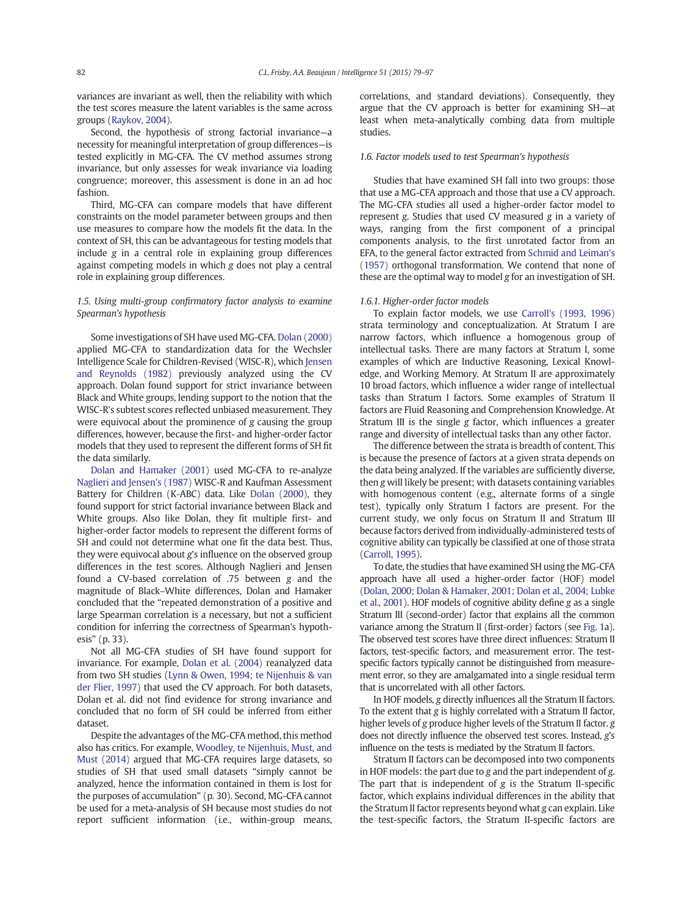variances are invariant as well, then the reliability with which the test scores measure the latent variables is the same across groups (Raykov, 2004).

Second, the hypothesis of strong factorial invariance—a necessity for meaningful interpretation of group differences—is tested explicitly in MG-CFA. The CV method assumes strong invariance, but only assesses for weak invariance via loading congruence; moreover, this assessment is done in an ad hoc fashion.

Third, MG-CFA can compare models that have different constraints on the model parameter between groups and then use measures to compare how the models fit the data. In the context of SH, this can be advantageous for testing models that include *g* in a central role in explaining group differences against competing models in which *g* does not play a central role in explaining group differences.

## *1.5. Using multi-group con*fi*rmatory factor analysis to examine Spearman's hypothesis*

Some investigations of SH have used MG-CFA. Dolan (2000) applied MG-CFA to standardization data for the Wechsler Intelligence Scale for Children-Revised (WISC-R), which Jensen and Reynolds (1982) previously analyzed using the CV approach. Dolan found support for strict invariance between Black and White groups, lending support to the notion that the WISC-R's subtest scores reflected unbiased measurement. They were equivocal about the prominence of *g* causing the group differences, however, because the first- and higher-order factor models that they used to represent the different forms of SH fit the data similarly.

Dolan and Hamaker (2001) used MG-CFA to re-analyze Naglieri and Jensen's (1987) WISC-R and Kaufman Assessment Battery for Children (K-ABC) data. Like Dolan (2000), they found support for strict factorial invariance between Black and White groups. Also like Dolan, they fit multiple first- and higher-order factor models to represent the different forms of SH and could not determine what one fit the data best. Thus, they were equivocal about *g*'s influence on the observed group differences in the test scores. Although Naglieri and Jensen found a CV-based correlation of .75 between *g* and the magnitude of Black–White differences, Dolan and Hamaker concluded that the "repeated demonstration of a positive and large Spearman correlation is a necessary, but not a sufficient condition for inferring the correctness of Spearman's hypothesis" (p. 33).

Not all MG-CFA studies of SH have found support for invariance. For example, Dolan et al. (2004) reanalyzed data from two SH studies (Lynn & Owen, 1994; te Nijenhuis & van der Flier, 1997) that used the CV approach. For both datasets, Dolan et al. did not find evidence for strong invariance and concluded that no form of SH could be inferred from either dataset.

Despite the advantages of the MG-CFA method, this method also has critics. For example, Woodley, te Nijenhuis, Must, and Must (2014) argued that MG-CFA requires large datasets, so studies of SH that used small datasets "simply cannot be analyzed, hence the information contained in them is lost for the purposes of accumulation" (p. 30). Second, MG-CFA cannot be used for a meta-analysis of SH because most studies do not report sufficient information (i.e., within-group means,

correlations, and standard deviations). Consequently, they argue that the CV approach is better for examining SH—at least when meta-analytically combing data from multiple studies.

#### *1.6. Factor models used to test Spearman's hypothesis*

Studies that have examined SH fall into two groups: those that use a MG-CFA approach and those that use a CV approach. The MG-CFA studies all used a higher-order factor model to represent *g*. Studies that used CV measured *g* in a variety of ways, ranging from the first component of a principal components analysis, to the first unrotated factor from an EFA, to the general factor extracted from Schmid and Leiman's (1957) orthogonal transformation. We contend that none of these are the optimal way to model *g* for an investigation of SH.

#### *1.6.1. Higher-order factor models*

To explain factor models, we use Carroll's (1993, 1996) strata terminology and conceptualization. At Stratum I are narrow factors, which influence a homogenous group of intellectual tasks. There are many factors at Stratum I, some examples of which are Inductive Reasoning, Lexical Knowledge, and Working Memory. At Stratum II are approximately 10 broad factors, which influence a wider range of intellectual tasks than Stratum I factors. Some examples of Stratum II factors are Fluid Reasoning and Comprehension Knowledge. At Stratum III is the single *g* factor, which influences a greater range and diversity of intellectual tasks than any other factor.

The difference between the strata is breadth of content. This is because the presence of factors at a given strata depends on the data being analyzed. If the variables are sufficiently diverse, then *g* will likely be present; with datasets containing variables with homogenous content (e.g., alternate forms of a single test), typically only Stratum I factors are present. For the current study, we only focus on Stratum II and Stratum III because factors derived from individually-administered tests of cognitive ability can typically be classified at one of those strata (Carroll, 1995).

To date, the studies that have examined SH using the MG-CFA approach have all used a higher-order factor (HOF) model (Dolan, 2000; Dolan & Hamaker, 2001; Dolan et al., 2004; Lubke et al., 2001). HOF models of cognitive ability define *g* as a single Stratum III (second-order) factor that explains all the common variance among the Stratum II (first-order) factors (see Fig. 1a). The observed test scores have three direct influences: Stratum II factors, test-specific factors, and measurement error. The testspecific factors typically cannot be distinguished from measurement error, so they are amalgamated into a single residual term that is uncorrelated with all other factors.

In HOF models, *g* directly influences all the Stratum II factors. To the extent that *g* is highly correlated with a Stratum II factor, higher levels of *g* produce higher levels of the Stratum II factor. *g* does not directly influence the observed test scores. Instead, *g*'s influence on the tests is mediated by the Stratum II factors.

Stratum II factors can be decomposed into two components in HOF models: the part due to *g* and the part independent of *g*. The part that is independent of *g* is the Stratum II-specific factor, which explains individual differences in the ability that the Stratum II factor represents beyond what *g* can explain. Like the test-specific factors, the Stratum II-specific factors are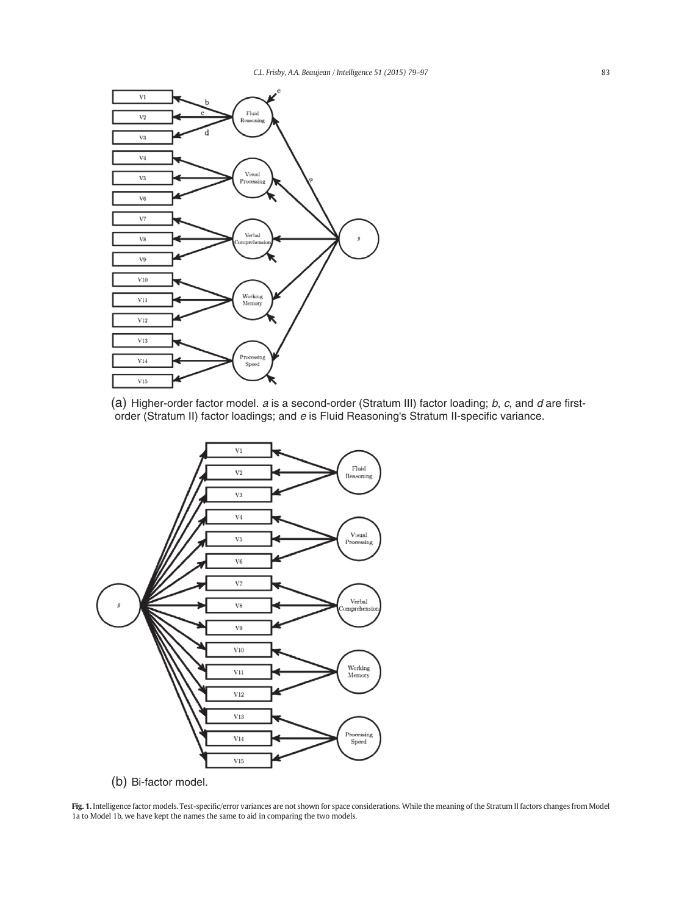

(a) Higher-order factor model. a is a second-order (Stratum III) factor loading; b, c, and d are firstorder (Stratum II) factor loadings; and e is Fluid Reasoning's Stratum II-specific variance.



Fig. 1. Intelligence factor models. Test-specific/error variances are not shown for space considerations. While the meaning of the Stratum II factors changes from Model 1a to Model 1b, we have kept the names the same to aid in comparing the two models.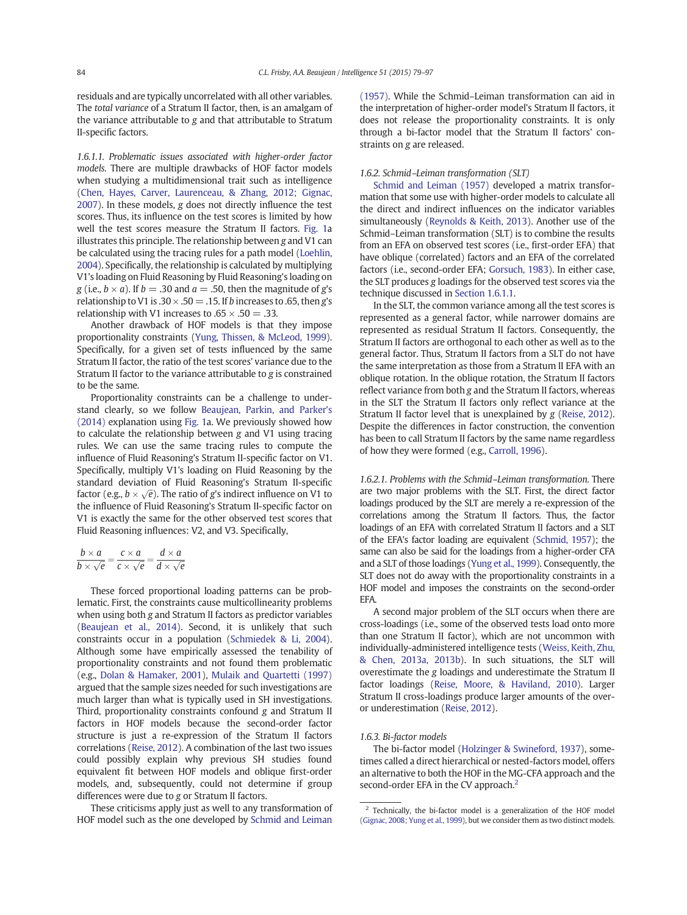residuals and are typically uncorrelated with all other variables. The *total variance* of a Stratum II factor, then, is an amalgam of the variance attributable to *g* and that attributable to Stratum II-specific factors.

*1.6.1.1. Problematic issues associated with higher-order factor models.* There are multiple drawbacks of HOF factor models when studying a multidimensional trait such as intelligence (Chen, Hayes, Carver, Laurenceau, & Zhang, 2012; Gignac, 2007). In these models, *g* does not directly influence the test scores. Thus, its influence on the test scores is limited by how well the test scores measure the Stratum II factors. Fig. 1a illustrates this principle. The relationship between *g* and V1 can be calculated using the tracing rules for a path model (Loehlin, 2004). Specifically, the relationship is calculated by multiplying V1's loading on Fluid Reasoning by Fluid Reasoning's loading on *g* (i.e.,  $b \times a$ ). If  $b = .30$  and  $a = .50$ , then the magnitude of *g*'s relationship to V1 is  $.30 \times .50 = .15$ . If *b* increases to .65, then *g*'s relationship with V1 increases to  $.65 \times .50 = .33$ .

Another drawback of HOF models is that they impose proportionality constraints (Yung, Thissen, & McLeod, 1999). Specifically, for a given set of tests influenced by the same Stratum II factor, the ratio of the test scores' variance due to the Stratum II factor to the variance attributable to *g* is constrained to be the same.

Proportionality constraints can be a challenge to understand clearly, so we follow Beaujean, Parkin, and Parker's (2014) explanation using Fig. 1a. We previously showed how to calculate the relationship between *g* and V1 using tracing rules. We can use the same tracing rules to compute the influence of Fluid Reasoning's Stratum II-specific factor on V1. Specifically, multiply V1's loading on Fluid Reasoning by the standard deviation of Fluid Reasoning's Stratum II-specific factor (e.g.,  $b \times \sqrt{e}$ ). The ratio of *g*'s indirect influence on V1 to the influence of Fluid Reasoning's Stratum II-specific factor on V1 is exactly the same for the other observed test scores that Fluid Reasoning influences: V2, and V3. Specifically,

$$
\frac{b \times a}{b \times \sqrt{e}} = \frac{c \times a}{c \times \sqrt{e}} = \frac{d \times a}{d \times \sqrt{e}}
$$

These forced proportional loading patterns can be problematic. First, the constraints cause multicollinearity problems when using both *g* and Stratum II factors as predictor variables (Beaujean et al., 2014). Second, it is unlikely that such constraints occur in a population (Schmiedek & Li, 2004). Although some have empirically assessed the tenability of proportionality constraints and not found them problematic (e.g., Dolan & Hamaker, 2001), Mulaik and Quartetti (1997) argued that the sample sizes needed for such investigations are much larger than what is typically used in SH investigations. Third, proportionality constraints confound *g* and Stratum II factors in HOF models because the second-order factor structure is just a re-expression of the Stratum II factors correlations (Reise, 2012). A combination of the last two issues could possibly explain why previous SH studies found equivalent fit between HOF models and oblique first-order models, and, subsequently, could not determine if group differences were due to *g* or Stratum II factors.

These criticisms apply just as well to any transformation of HOF model such as the one developed by Schmid and Leiman

(1957). While the Schmid–Leiman transformation can aid in the interpretation of higher-order model's Stratum II factors, it does not release the proportionality constraints. It is only through a bi-factor model that the Stratum II factors' constraints on *g* are released.

#### *1.6.2. Schmid*–*Leiman transformation (SLT)*

Schmid and Leiman (1957) developed a matrix transformation that some use with higher-order models to calculate all the direct and indirect influences on the indicator variables simultaneously (Reynolds & Keith, 2013). Another use of the Schmid–Leiman transformation (SLT) is to combine the results from an EFA on observed test scores (i.e., first-order EFA) that have oblique (correlated) factors and an EFA of the correlated factors (i.e., second-order EFA; Gorsuch, 1983). In either case, the SLT produces *g* loadings for the observed test scores via the technique discussed in Section 1.6.1.1.

In the SLT, the common variance among all the test scores is represented as a general factor, while narrower domains are represented as residual Stratum II factors. Consequently, the Stratum II factors are orthogonal to each other as well as to the general factor. Thus, Stratum II factors from a SLT do not have the same interpretation as those from a Stratum II EFA with an oblique rotation. In the oblique rotation, the Stratum II factors reflect variance from both *g* and the Stratum II factors, whereas in the SLT the Stratum II factors only reflect variance at the Stratum II factor level that is unexplained by *g* (Reise, 2012). Despite the differences in factor construction, the convention has been to call Stratum II factors by the same name regardless of how they were formed (e.g., Carroll, 1996).

*1.6.2.1. Problems with the Schmid*–*Leiman transformation.* There are two major problems with the SLT. First, the direct factor loadings produced by the SLT are merely a re-expression of the correlations among the Stratum II factors. Thus, the factor loadings of an EFA with correlated Stratum II factors and a SLT of the EFA's factor loading are equivalent (Schmid, 1957); the same can also be said for the loadings from a higher-order CFA and a SLT of those loadings (Yung et al., 1999). Consequently, the SLT does not do away with the proportionality constraints in a HOF model and imposes the constraints on the second-order EFA.

A second major problem of the SLT occurs when there are cross-loadings (i.e., some of the observed tests load onto more than one Stratum II factor), which are not uncommon with individually-administered intelligence tests (Weiss, Keith, Zhu, & Chen, 2013a, 2013b). In such situations, the SLT will overestimate the *g* loadings and underestimate the Stratum II factor loadings (Reise, Moore, & Haviland, 2010). Larger Stratum II cross-loadings produce larger amounts of the overor underestimation (Reise, 2012).

#### *1.6.3. Bi-factor models*

The bi-factor model (Holzinger & Swineford, 1937), sometimes called a direct hierarchical or nested-factors model, offers an alternative to both the HOF in the MG-CFA approach and the second-order EFA in the CV approach.<sup>2</sup>

<sup>&</sup>lt;sup>2</sup> Technically, the bi-factor model is a generalization of the HOF model (Gignac, 2008; Yung et al., 1999), but we consider them as two distinct models.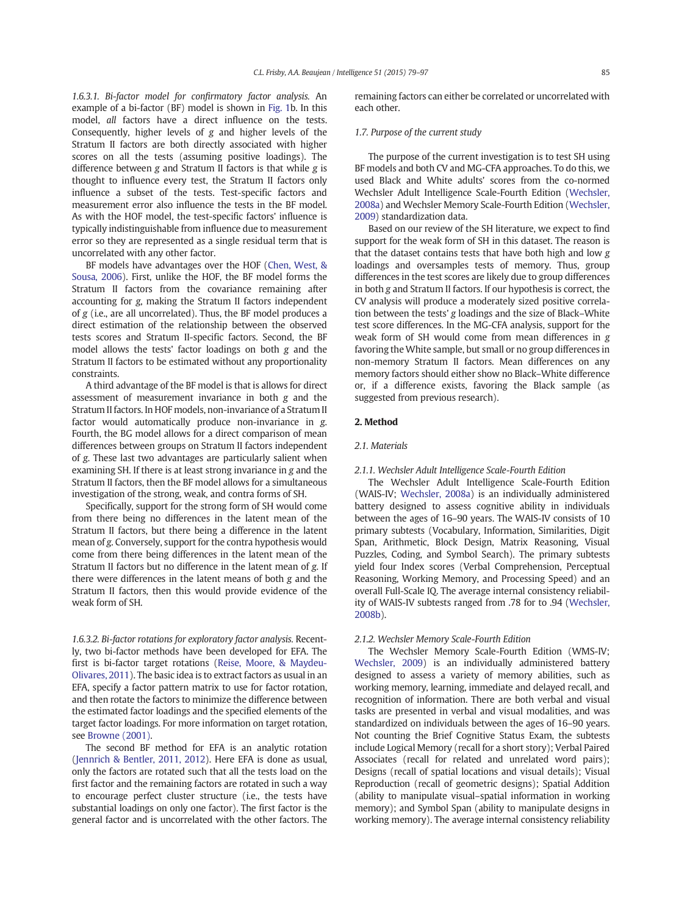*1.6.3.1. Bi-factor model for con*fi*rmatory factor analysis.* An example of a bi-factor (BF) model is shown in Fig. 1b. In this model, *all* factors have a direct influence on the tests. Consequently, higher levels of *g* and higher levels of the Stratum II factors are both directly associated with higher scores on all the tests (assuming positive loadings). The difference between *g* and Stratum II factors is that while *g* is thought to influence every test, the Stratum II factors only influence a subset of the tests. Test-specific factors and measurement error also influence the tests in the BF model. As with the HOF model, the test-specific factors' influence is typically indistinguishable from influence due to measurement error so they are represented as a single residual term that is uncorrelated with any other factor.

BF models have advantages over the HOF (Chen, West, & Sousa, 2006). First, unlike the HOF, the BF model forms the Stratum II factors from the covariance remaining after accounting for *g*, making the Stratum II factors independent of *g* (i.e., are all uncorrelated). Thus, the BF model produces a direct estimation of the relationship between the observed tests scores and Stratum II-specific factors. Second, the BF model allows the tests' factor loadings on both *g* and the Stratum II factors to be estimated without any proportionality constraints.

A third advantage of the BF model is that is allows for direct assessment of measurement invariance in both *g* and the Stratum II factors. In HOF models, non-invariance of a Stratum II factor would automatically produce non-invariance in *g*. Fourth, the BG model allows for a direct comparison of mean differences between groups on Stratum II factors independent of *g*. These last two advantages are particularly salient when examining SH. If there is at least strong invariance in *g* and the Stratum II factors, then the BF model allows for a simultaneous investigation of the strong, weak, and contra forms of SH.

Specifically, support for the strong form of SH would come from there being no differences in the latent mean of the Stratum II factors, but there being a difference in the latent mean of *g*. Conversely, support for the contra hypothesis would come from there being differences in the latent mean of the Stratum II factors but no difference in the latent mean of *g*. If there were differences in the latent means of both *g* and the Stratum II factors, then this would provide evidence of the weak form of SH.

*1.6.3.2. Bi-factor rotations for exploratory factor analysis.* Recently, two bi-factor methods have been developed for EFA. The first is bi-factor target rotations (Reise, Moore, & Maydeu-Olivares, 2011). The basic idea is to extract factors as usual in an EFA, specify a factor pattern matrix to use for factor rotation, and then rotate the factors to minimize the difference between the estimated factor loadings and the specified elements of the target factor loadings. For more information on target rotation, see Browne (2001).

The second BF method for EFA is an analytic rotation (Jennrich & Bentler, 2011, 2012). Here EFA is done as usual, only the factors are rotated such that all the tests load on the first factor and the remaining factors are rotated in such a way to encourage perfect cluster structure (i.e., the tests have substantial loadings on only one factor). The first factor is the general factor and is uncorrelated with the other factors. The

remaining factors can either be correlated or uncorrelated with each other.

# *1.7. Purpose of the current study*

The purpose of the current investigation is to test SH using BF models and both CV and MG-CFA approaches. To do this, we used Black and White adults' scores from the co-normed Wechsler Adult Intelligence Scale-Fourth Edition (Wechsler, 2008a) and Wechsler Memory Scale-Fourth Edition (Wechsler, 2009) standardization data.

Based on our review of the SH literature, we expect to find support for the weak form of SH in this dataset. The reason is that the dataset contains tests that have both high and low *g* loadings and oversamples tests of memory. Thus, group differences in the test scores are likely due to group differences in both *g* and Stratum II factors. If our hypothesis is correct, the CV analysis will produce a moderately sized positive correlation between the tests' *g* loadings and the size of Black–White test score differences. In the MG-CFA analysis, support for the weak form of SH would come from mean differences in *g* favoring the White sample, but small or no group differences in non-memory Stratum II factors. Mean differences on any memory factors should either show no Black–White difference or, if a difference exists, favoring the Black sample (as suggested from previous research).

#### 2. Method

# *2.1. Materials*

# *2.1.1. Wechsler Adult Intelligence Scale-Fourth Edition*

The Wechsler Adult Intelligence Scale-Fourth Edition (WAIS-IV; Wechsler, 2008a) is an individually administered battery designed to assess cognitive ability in individuals between the ages of 16–90 years. The WAIS-IV consists of 10 primary subtests (Vocabulary, Information, Similarities, Digit Span, Arithmetic, Block Design, Matrix Reasoning, Visual Puzzles, Coding, and Symbol Search). The primary subtests yield four Index scores (Verbal Comprehension, Perceptual Reasoning, Working Memory, and Processing Speed) and an overall Full-Scale IQ. The average internal consistency reliability of WAIS-IV subtests ranged from .78 for to .94 (Wechsler, 2008b).

#### *2.1.2. Wechsler Memory Scale-Fourth Edition*

The Wechsler Memory Scale-Fourth Edition (WMS-IV; Wechsler, 2009) is an individually administered battery designed to assess a variety of memory abilities, such as working memory, learning, immediate and delayed recall, and recognition of information. There are both verbal and visual tasks are presented in verbal and visual modalities, and was standardized on individuals between the ages of 16–90 years. Not counting the Brief Cognitive Status Exam, the subtests include Logical Memory (recall for a short story); Verbal Paired Associates (recall for related and unrelated word pairs); Designs (recall of spatial locations and visual details); Visual Reproduction (recall of geometric designs); Spatial Addition (ability to manipulate visual–spatial information in working memory); and Symbol Span (ability to manipulate designs in working memory). The average internal consistency reliability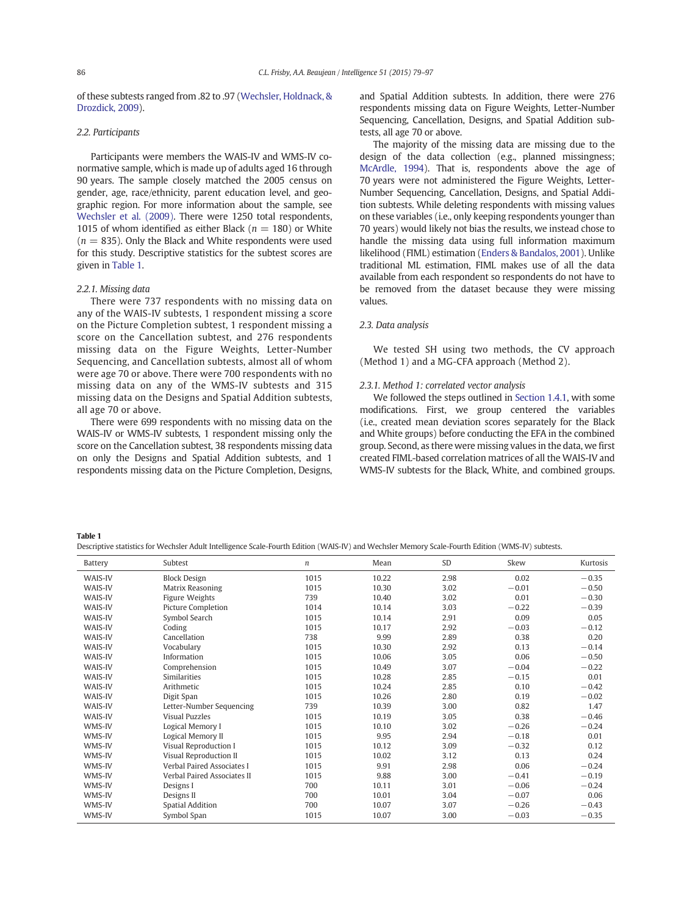of these subtests ranged from .82 to .97 (Wechsler, Holdnack, & Drozdick, 2009).

#### *2.2. Participants*

Participants were members the WAIS-IV and WMS-IV conormative sample, which is made up of adults aged 16 through 90 years. The sample closely matched the 2005 census on gender, age, race/ethnicity, parent education level, and geographic region. For more information about the sample, see Wechsler et al. (2009). There were 1250 total respondents, 1015 of whom identified as either Black ( $n = 180$ ) or White  $(n = 835)$ . Only the Black and White respondents were used for this study. Descriptive statistics for the subtest scores are given in Table 1.

#### *2.2.1. Missing data*

There were 737 respondents with no missing data on any of the WAIS-IV subtests, 1 respondent missing a score on the Picture Completion subtest, 1 respondent missing a score on the Cancellation subtest, and 276 respondents missing data on the Figure Weights, Letter-Number Sequencing, and Cancellation subtests, almost all of whom were age 70 or above. There were 700 respondents with no missing data on any of the WMS-IV subtests and 315 missing data on the Designs and Spatial Addition subtests, all age 70 or above.

There were 699 respondents with no missing data on the WAIS-IV or WMS-IV subtests, 1 respondent missing only the score on the Cancellation subtest, 38 respondents missing data on only the Designs and Spatial Addition subtests, and 1 respondents missing data on the Picture Completion, Designs, and Spatial Addition subtests. In addition, there were 276 respondents missing data on Figure Weights, Letter-Number Sequencing, Cancellation, Designs, and Spatial Addition subtests, all age 70 or above.

The majority of the missing data are missing due to the design of the data collection (e.g., planned missingness; McArdle, 1994). That is, respondents above the age of 70 years were not administered the Figure Weights, Letter-Number Sequencing, Cancellation, Designs, and Spatial Addition subtests. While deleting respondents with missing values on these variables (i.e., only keeping respondents younger than 70 years) would likely not bias the results, we instead chose to handle the missing data using full information maximum likelihood (FIML) estimation (Enders & Bandalos, 2001). Unlike traditional ML estimation, FIML makes use of all the data available from each respondent so respondents do not have to be removed from the dataset because they were missing values.

#### *2.3. Data analysis*

We tested SH using two methods, the CV approach (Method 1) and a MG-CFA approach (Method 2).

#### *2.3.1. Method 1: correlated vector analysis*

We followed the steps outlined in Section 1.4.1, with some modifications. First, we group centered the variables (i.e., created mean deviation scores separately for the Black and White groups) before conducting the EFA in the combined group. Second, as there were missing values in the data, we first created FIML-based correlation matrices of all the WAIS-IV and WMS-IV subtests for the Black, White, and combined groups.

Table 1

Descriptive statistics for Wechsler Adult Intelligence Scale-Fourth Edition (WAIS-IV) and Wechsler Memory Scale-Fourth Edition (WMS-IV) subtests.

| Battery | Subtest                     | $\boldsymbol{n}$ | Mean  | <b>SD</b> | Skew    | Kurtosis |
|---------|-----------------------------|------------------|-------|-----------|---------|----------|
| WAIS-IV | <b>Block Design</b>         | 1015             | 10.22 | 2.98      | 0.02    | $-0.35$  |
| WAIS-IV | Matrix Reasoning            | 1015             | 10.30 | 3.02      | $-0.01$ | $-0.50$  |
| WAIS-IV | Figure Weights              | 739              | 10.40 | 3.02      | 0.01    | $-0.30$  |
| WAIS-IV | <b>Picture Completion</b>   | 1014             | 10.14 | 3.03      | $-0.22$ | $-0.39$  |
| WAIS-IV | Symbol Search               | 1015             | 10.14 | 2.91      | 0.09    | 0.05     |
| WAIS-IV | Coding                      | 1015             | 10.17 | 2.92      | $-0.03$ | $-0.12$  |
| WAIS-IV | Cancellation                | 738              | 9.99  | 2.89      | 0.38    | 0.20     |
| WAIS-IV | Vocabulary                  | 1015             | 10.30 | 2.92      | 0.13    | $-0.14$  |
| WAIS-IV | Information                 | 1015             | 10.06 | 3.05      | 0.06    | $-0.50$  |
| WAIS-IV | Comprehension               | 1015             | 10.49 | 3.07      | $-0.04$ | $-0.22$  |
| WAIS-IV | <b>Similarities</b>         | 1015             | 10.28 | 2.85      | $-0.15$ | 0.01     |
| WAIS-IV | Arithmetic                  | 1015             | 10.24 | 2.85      | 0.10    | $-0.42$  |
| WAIS-IV | Digit Span                  | 1015             | 10.26 | 2.80      | 0.19    | $-0.02$  |
| WAIS-IV | Letter-Number Sequencing    | 739              | 10.39 | 3.00      | 0.82    | 1.47     |
| WAIS-IV | <b>Visual Puzzles</b>       | 1015             | 10.19 | 3.05      | 0.38    | $-0.46$  |
| WMS-IV  | Logical Memory I            | 1015             | 10.10 | 3.02      | $-0.26$ | $-0.24$  |
| WMS-IV  | Logical Memory II           | 1015             | 9.95  | 2.94      | $-0.18$ | 0.01     |
| WMS-IV  | Visual Reproduction I       | 1015             | 10.12 | 3.09      | $-0.32$ | 0.12     |
| WMS-IV  | Visual Reproduction II      | 1015             | 10.02 | 3.12      | 0.13    | 0.24     |
| WMS-IV  | Verbal Paired Associates I  | 1015             | 9.91  | 2.98      | 0.06    | $-0.24$  |
| WMS-IV  | Verbal Paired Associates II | 1015             | 9.88  | 3.00      | $-0.41$ | $-0.19$  |
| WMS-IV  | Designs I                   | 700              | 10.11 | 3.01      | $-0.06$ | $-0.24$  |
| WMS-IV  | Designs II                  | 700              | 10.01 | 3.04      | $-0.07$ | 0.06     |
| WMS-IV  | Spatial Addition            | 700              | 10.07 | 3.07      | $-0.26$ | $-0.43$  |
| WMS-IV  | Symbol Span                 | 1015             | 10.07 | 3.00      | $-0.03$ | $-0.35$  |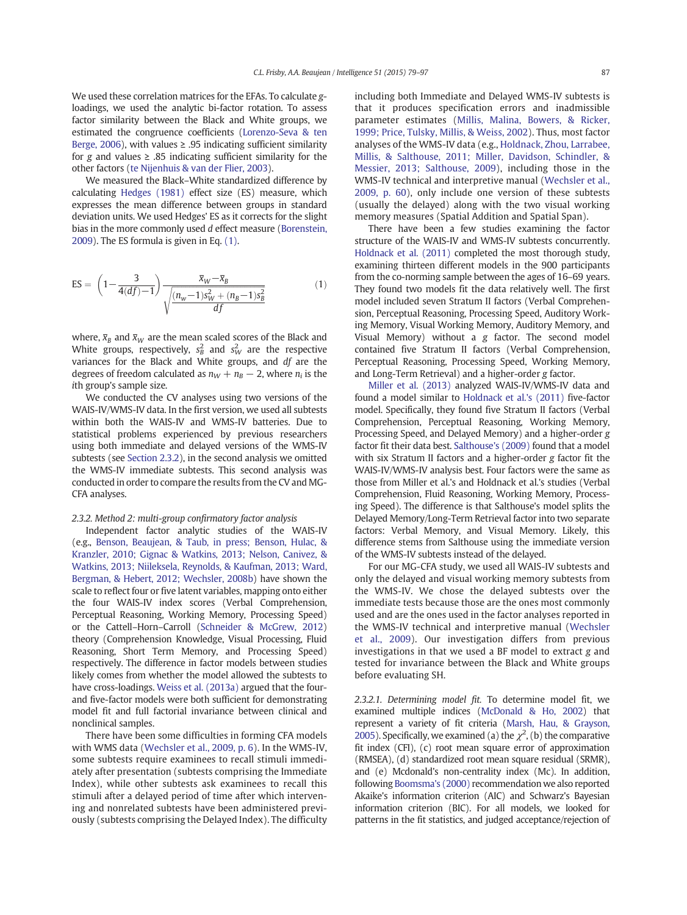We used these correlation matrices for the EFAs. To calculate *g*loadings, we used the analytic bi-factor rotation. To assess factor similarity between the Black and White groups, we estimated the congruence coefficients (Lorenzo-Seva & ten Berge, 2006), with values  $\geq$  .95 indicating sufficient similarity for  $g$  and values  $\geq$  .85 indicating sufficient similarity for the other factors (te Nijenhuis & van der Flier, 2003).

We measured the Black–White standardized difference by calculating Hedges (1981) effect size (ES) measure, which expresses the mean difference between groups in standard deviation units. We used Hedges' ES as it corrects for the slight bias in the more commonly used *d* effect measure (Borenstein, 2009). The ES formula is given in Eq. (1).

$$
\text{ES} = \left(1 - \frac{3}{4(df) - 1}\right) \frac{\bar{x}_{w} - \bar{x}_{B}}{\sqrt{\frac{(n_{w} - 1)s_{w}^{2} + (n_{B} - 1)s_{B}^{2}}{df}}}
$$
(1)

where,  $\overline{x}_B$  and  $\overline{x}_W$  are the mean scaled scores of the Black and White groups, respectively,  $s_B^2$  and  $s_W^2$  are the respective variances for the Black and White groups, and *df* are the degrees of freedom calculated as  $n_W + n_B - 2$ , where  $n_i$  is the *i*th group's sample size.

We conducted the CV analyses using two versions of the WAIS-IV/WMS-IV data. In the first version, we used all subtests within both the WAIS-IV and WMS-IV batteries. Due to statistical problems experienced by previous researchers using both immediate and delayed versions of the WMS-IV subtests (see Section 2.3.2), in the second analysis we omitted the WMS-IV immediate subtests. This second analysis was conducted in order to compare the results from the CV and MG-CFA analyses.

#### *2.3.2. Method 2: multi-group con*fi*rmatory factor analysis*

Independent factor analytic studies of the WAIS-IV (e.g., Benson, Beaujean, & Taub, in press; Benson, Hulac, & Kranzler, 2010; Gignac & Watkins, 2013; Nelson, Canivez, & Watkins, 2013; Niileksela, Reynolds, & Kaufman, 2013; Ward, Bergman, & Hebert, 2012; Wechsler, 2008b) have shown the scale to reflect four or five latent variables, mapping onto either the four WAIS-IV index scores (Verbal Comprehension, Perceptual Reasoning, Working Memory, Processing Speed) or the Cattell–Horn–Carroll (Schneider & McGrew, 2012) theory (Comprehension Knowledge, Visual Processing, Fluid Reasoning, Short Term Memory, and Processing Speed) respectively. The difference in factor models between studies likely comes from whether the model allowed the subtests to have cross-loadings. Weiss et al. (2013a) argued that the fourand five-factor models were both sufficient for demonstrating model fit and full factorial invariance between clinical and nonclinical samples.

There have been some difficulties in forming CFA models with WMS data (Wechsler et al., 2009, p. 6). In the WMS-IV, some subtests require examinees to recall stimuli immediately after presentation (subtests comprising the Immediate Index), while other subtests ask examinees to recall this stimuli after a delayed period of time after which intervening and nonrelated subtests have been administered previously (subtests comprising the Delayed Index). The difficulty including both Immediate and Delayed WMS-IV subtests is that it produces specification errors and inadmissible parameter estimates (Millis, Malina, Bowers, & Ricker, 1999; Price, Tulsky, Millis, & Weiss, 2002). Thus, most factor analyses of the WMS-IV data (e.g., Holdnack, Zhou, Larrabee, Millis, & Salthouse, 2011; Miller, Davidson, Schindler, & Messier, 2013; Salthouse, 2009), including those in the WMS-IV technical and interpretive manual (Wechsler et al., 2009, p. 60), only include one version of these subtests (usually the delayed) along with the two visual working memory measures (Spatial Addition and Spatial Span).

There have been a few studies examining the factor structure of the WAIS-IV and WMS-IV subtests concurrently. Holdnack et al. (2011) completed the most thorough study, examining thirteen different models in the 900 participants from the co-norming sample between the ages of 16–69 years. They found two models fit the data relatively well. The first model included seven Stratum II factors (Verbal Comprehension, Perceptual Reasoning, Processing Speed, Auditory Working Memory, Visual Working Memory, Auditory Memory, and Visual Memory) without a *g* factor. The second model contained five Stratum II factors (Verbal Comprehension, Perceptual Reasoning, Processing Speed, Working Memory, and Long-Term Retrieval) and a higher-order *g* factor.

Miller et al. (2013) analyzed WAIS-IV/WMS-IV data and found a model similar to Holdnack et al.'s (2011) five-factor model. Specifically, they found five Stratum II factors (Verbal Comprehension, Perceptual Reasoning, Working Memory, Processing Speed, and Delayed Memory) and a higher-order *g* factor fit their data best. Salthouse's (2009) found that a model with six Stratum II factors and a higher-order *g* factor fit the WAIS-IV/WMS-IV analysis best. Four factors were the same as those from Miller et al.'s and Holdnack et al.'s studies (Verbal Comprehension, Fluid Reasoning, Working Memory, Processing Speed). The difference is that Salthouse's model splits the Delayed Memory/Long-Term Retrieval factor into two separate factors: Verbal Memory, and Visual Memory. Likely, this difference stems from Salthouse using the immediate version of the WMS-IV subtests instead of the delayed.

For our MG-CFA study, we used all WAIS-IV subtests and only the delayed and visual working memory subtests from the WMS-IV. We chose the delayed subtests over the immediate tests because those are the ones most commonly used and are the ones used in the factor analyses reported in the WMS-IV technical and interpretive manual (Wechsler et al., 2009). Our investigation differs from previous investigations in that we used a BF model to extract *g* and tested for invariance between the Black and White groups before evaluating SH.

*2.3.2.1. Determining model* fi*t.* To determine model fit, we examined multiple indices (McDonald & Ho, 2002) that represent a variety of fit criteria (Marsh, Hau, & Grayson, 2005). Specifically, we examined (a) the  $\chi^2$ , (b) the comparative fit index (CFI), (c) root mean square error of approximation (RMSEA), (d) standardized root mean square residual (SRMR), and (e) Mcdonald's non-centrality index (Mc). In addition, following Boomsma's (2000) recommendation we also reported Akaike's information criterion (AIC) and Schwarz's Bayesian information criterion (BIC). For all models, we looked for patterns in the fit statistics, and judged acceptance/rejection of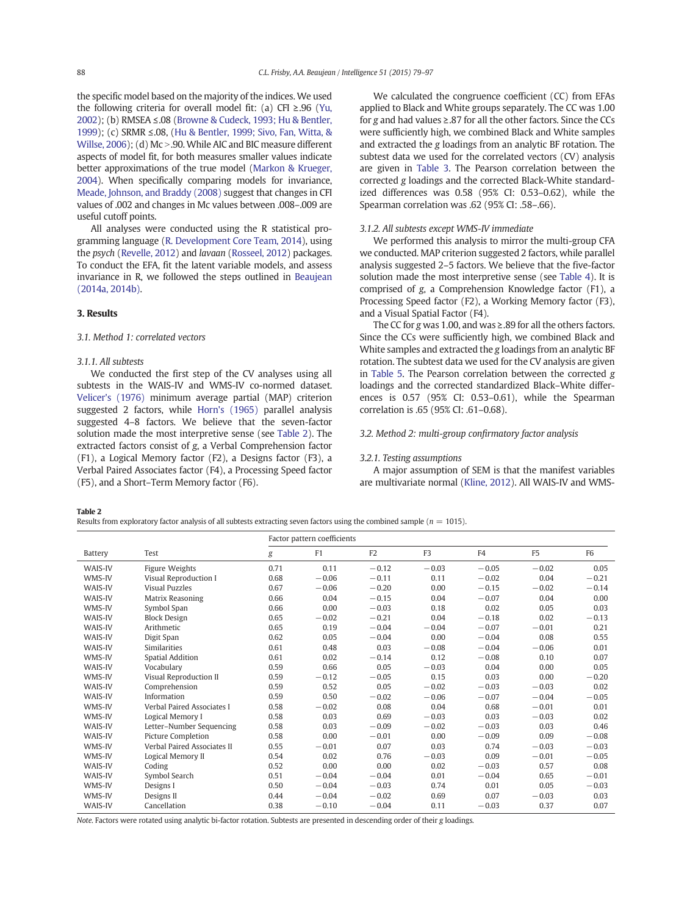the specific model based on the majority of the indices. We used the following criteria for overall model fit: (a) CFI  $\geq$ .96 (Yu, 2002); (b) RMSEA ≤.08 (Browne & Cudeck, 1993; Hu & Bentler, 1999); (c) SRMR ≤.08, (Hu & Bentler, 1999; Sivo, Fan, Witta, & Willse,  $2006$ ); (d) Mc  $> 90$ . While AIC and BIC measure different aspects of model fit, for both measures smaller values indicate better approximations of the true model (Markon & Krueger, 2004). When specifically comparing models for invariance, Meade, Johnson, and Braddy (2008) suggest that changes in CFI values of .002 and changes in Mc values between .008–.009 are useful cutoff points.

All analyses were conducted using the R statistical programming language (R. Development Core Team, 2014), using the *psych* (Revelle, 2012) and *lavaan* (Rosseel, 2012) packages. To conduct the EFA, fit the latent variable models, and assess invariance in R, we followed the steps outlined in Beaujean (2014a, 2014b).

#### 3. Results

#### *3.1. Method 1: correlated vectors*

#### *3.1.1. All subtests*

We conducted the first step of the CV analyses using all subtests in the WAIS-IV and WMS-IV co-normed dataset. Velicer's (1976) minimum average partial (MAP) criterion suggested 2 factors, while Horn's (1965) parallel analysis suggested 4–8 factors. We believe that the seven-factor solution made the most interpretive sense (see Table 2). The extracted factors consist of *g*, a Verbal Comprehension factor (F1), a Logical Memory factor (F2), a Designs factor (F3), a Verbal Paired Associates factor (F4), a Processing Speed factor (F5), and a Short–Term Memory factor (F6).

We calculated the congruence coefficient (CC) from EFAs applied to Black and White groups separately. The CC was 1.00 for *g* and had values ≥.87 for all the other factors. Since the CCs were sufficiently high, we combined Black and White samples and extracted the *g* loadings from an analytic BF rotation. The subtest data we used for the correlated vectors (CV) analysis are given in Table 3. The Pearson correlation between the corrected *g* loadings and the corrected Black-White standardized differences was 0.58 (95% CI: 0.53–0.62), while the Spearman correlation was .62 (95% CI: .58–.66).

#### *3.1.2. All subtests except WMS-IV immediate*

We performed this analysis to mirror the multi-group CFA we conducted. MAP criterion suggested 2 factors, while parallel analysis suggested 2–5 factors. We believe that the five-factor solution made the most interpretive sense (see Table 4). It is comprised of *g*, a Comprehension Knowledge factor (F1), a Processing Speed factor (F2), a Working Memory factor (F3), and a Visual Spatial Factor (F4).

The CC for *g* was 1.00, and was ≥.89 for all the others factors. Since the CCs were sufficiently high, we combined Black and White samples and extracted the *g* loadings from an analytic BF rotation. The subtest data we used for the CV analysis are given in Table 5. The Pearson correlation between the corrected *g* loadings and the corrected standardized Black–White differences is 0.57 (95% CI: 0.53–0.61), while the Spearman correlation is .65 (95% CI: .61–0.68).

#### *3.2. Method 2: multi-group con*fi*rmatory factor analysis*

# *3.2.1. Testing assumptions*

A major assumption of SEM is that the manifest variables are multivariate normal (Kline, 2012). All WAIS-IV and WMS-

Table 2

```
Results from exploratory factor analysis of all subtests extracting seven factors using the combined sample (n = 1015).
```

|         |                             | Factor pattern coefficients |         |                |                |         |                |                |
|---------|-----------------------------|-----------------------------|---------|----------------|----------------|---------|----------------|----------------|
| Battery | Test                        | g                           | F1      | F <sub>2</sub> | F <sub>3</sub> | F4      | F <sub>5</sub> | F <sub>6</sub> |
| WAIS-IV | Figure Weights              | 0.71                        | 0.11    | $-0.12$        | $-0.03$        | $-0.05$ | $-0.02$        | 0.05           |
| WMS-IV  | Visual Reproduction I       | 0.68                        | $-0.06$ | $-0.11$        | 0.11           | $-0.02$ | 0.04           | $-0.21$        |
| WAIS-IV | Visual Puzzles              | 0.67                        | $-0.06$ | $-0.20$        | 0.00           | $-0.15$ | $-0.02$        | $-0.14$        |
| WAIS-IV | Matrix Reasoning            | 0.66                        | 0.04    | $-0.15$        | 0.04           | $-0.07$ | 0.04           | 0.00           |
| WMS-IV  | Symbol Span                 | 0.66                        | 0.00    | $-0.03$        | 0.18           | 0.02    | 0.05           | 0.03           |
| WAIS-IV | <b>Block Design</b>         | 0.65                        | $-0.02$ | $-0.21$        | 0.04           | $-0.18$ | 0.02           | $-0.13$        |
| WAIS-IV | Arithmetic                  | 0.65                        | 0.19    | $-0.04$        | $-0.04$        | $-0.07$ | $-0.01$        | 0.21           |
| WAIS-IV | Digit Span                  | 0.62                        | 0.05    | $-0.04$        | 0.00           | $-0.04$ | 0.08           | 0.55           |
| WAIS-IV | Similarities                | 0.61                        | 0.48    | 0.03           | $-0.08$        | $-0.04$ | $-0.06$        | 0.01           |
| WMS-IV  | Spatial Addition            | 0.61                        | 0.02    | $-0.14$        | 0.12           | $-0.08$ | 0.10           | 0.07           |
| WAIS-IV | Vocabulary                  | 0.59                        | 0.66    | 0.05           | $-0.03$        | 0.04    | 0.00           | 0.05           |
| WMS-IV  | Visual Reproduction II      | 0.59                        | $-0.12$ | $-0.05$        | 0.15           | 0.03    | 0.00           | $-0.20$        |
| WAIS-IV | Comprehension               | 0.59                        | 0.52    | 0.05           | $-0.02$        | $-0.03$ | $-0.03$        | 0.02           |
| WAIS-IV | Information                 | 0.59                        | 0.50    | $-0.02$        | $-0.06$        | $-0.07$ | $-0.04$        | $-0.05$        |
| WMS-IV  | Verbal Paired Associates I  | 0.58                        | $-0.02$ | 0.08           | 0.04           | 0.68    | $-0.01$        | 0.01           |
| WMS-IV  | Logical Memory I            | 0.58                        | 0.03    | 0.69           | $-0.03$        | 0.03    | $-0.03$        | 0.02           |
| WAIS-IV | Letter-Number Sequencing    | 0.58                        | 0.03    | $-0.09$        | $-0.02$        | $-0.03$ | 0.03           | 0.46           |
| WAIS-IV | <b>Picture Completion</b>   | 0.58                        | 0.00    | $-0.01$        | 0.00           | $-0.09$ | 0.09           | $-0.08$        |
| WMS-IV  | Verbal Paired Associates II | 0.55                        | $-0.01$ | 0.07           | 0.03           | 0.74    | $-0.03$        | $-0.03$        |
| WMS-IV  | Logical Memory II           | 0.54                        | 0.02    | 0.76           | $-0.03$        | 0.09    | $-0.01$        | $-0.05$        |
| WAIS-IV | Coding                      | 0.52                        | 0.00    | 0.00           | 0.02           | $-0.03$ | 0.57           | 0.08           |
| WAIS-IV | Symbol Search               | 0.51                        | $-0.04$ | $-0.04$        | 0.01           | $-0.04$ | 0.65           | $-0.01$        |
| WMS-IV  | Designs I                   | 0.50                        | $-0.04$ | $-0.03$        | 0.74           | 0.01    | 0.05           | $-0.03$        |
| WMS-IV  | Designs II                  | 0.44                        | $-0.04$ | $-0.02$        | 0.69           | 0.07    | $-0.03$        | 0.03           |
| WAIS-IV | Cancellation                | 0.38                        | $-0.10$ | $-0.04$        | 0.11           | $-0.03$ | 0.37           | 0.07           |

*Note*. Factors were rotated using analytic bi-factor rotation. Subtests are presented in descending order of their *g* loadings.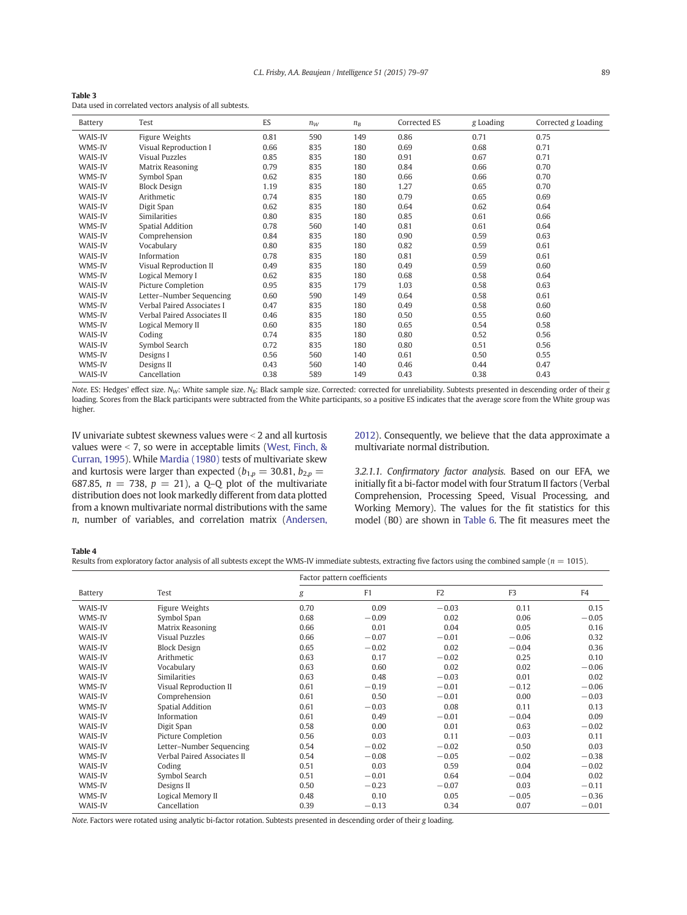| Table 3                                                   |  |
|-----------------------------------------------------------|--|
| Data used in correlated vectors analysis of all subtests. |  |

| Battery | Test                        | <b>ES</b> | $n_W$ | $n_B$ | Corrected ES | g Loading | Corrected g Loading |
|---------|-----------------------------|-----------|-------|-------|--------------|-----------|---------------------|
| WAIS-IV | Figure Weights              | 0.81      | 590   | 149   | 0.86         | 0.71      | 0.75                |
| WMS-IV  | Visual Reproduction I       | 0.66      | 835   | 180   | 0.69         | 0.68      | 0.71                |
| WAIS-IV | <b>Visual Puzzles</b>       | 0.85      | 835   | 180   | 0.91         | 0.67      | 0.71                |
| WAIS-IV | Matrix Reasoning            | 0.79      | 835   | 180   | 0.84         | 0.66      | 0.70                |
| WMS-IV  | Symbol Span                 | 0.62      | 835   | 180   | 0.66         | 0.66      | 0.70                |
| WAIS-IV | <b>Block Design</b>         | 1.19      | 835   | 180   | 1.27         | 0.65      | 0.70                |
| WAIS-IV | Arithmetic                  | 0.74      | 835   | 180   | 0.79         | 0.65      | 0.69                |
| WAIS-IV | Digit Span                  | 0.62      | 835   | 180   | 0.64         | 0.62      | 0.64                |
| WAIS-IV | <b>Similarities</b>         | 0.80      | 835   | 180   | 0.85         | 0.61      | 0.66                |
| WMS-IV  | Spatial Addition            | 0.78      | 560   | 140   | 0.81         | 0.61      | 0.64                |
| WAIS-IV | Comprehension               | 0.84      | 835   | 180   | 0.90         | 0.59      | 0.63                |
| WAIS-IV | Vocabulary                  | 0.80      | 835   | 180   | 0.82         | 0.59      | 0.61                |
| WAIS-IV | Information                 | 0.78      | 835   | 180   | 0.81         | 0.59      | 0.61                |
| WMS-IV  | Visual Reproduction II      | 0.49      | 835   | 180   | 0.49         | 0.59      | 0.60                |
| WMS-IV  | Logical Memory I            | 0.62      | 835   | 180   | 0.68         | 0.58      | 0.64                |
| WAIS-IV | <b>Picture Completion</b>   | 0.95      | 835   | 179   | 1.03         | 0.58      | 0.63                |
| WAIS-IV | Letter-Number Sequencing    | 0.60      | 590   | 149   | 0.64         | 0.58      | 0.61                |
| WMS-IV  | Verbal Paired Associates I  | 0.47      | 835   | 180   | 0.49         | 0.58      | 0.60                |
| WMS-IV  | Verbal Paired Associates II | 0.46      | 835   | 180   | 0.50         | 0.55      | 0.60                |
| WMS-IV  | Logical Memory II           | 0.60      | 835   | 180   | 0.65         | 0.54      | 0.58                |
| WAIS-IV | Coding                      | 0.74      | 835   | 180   | 0.80         | 0.52      | 0.56                |
| WAIS-IV | Symbol Search               | 0.72      | 835   | 180   | 0.80         | 0.51      | 0.56                |
| WMS-IV  | Designs I                   | 0.56      | 560   | 140   | 0.61         | 0.50      | 0.55                |
| WMS-IV  | Designs II                  | 0.43      | 560   | 140   | 0.46         | 0.44      | 0.47                |
| WAIS-IV | Cancellation                | 0.38      | 589   | 149   | 0.43         | 0.38      | 0.43                |

*Note*. ES: Hedges' effect size. *NW*: White sample size. *NB*: Black sample size. Corrected: corrected for unreliability. Subtests presented in descending order of their *g* loading. Scores from the Black participants were subtracted from the White participants, so a positive ES indicates that the average score from the White group was higher.

IV univariate subtest skewness values were  $<$  2 and all kurtosis values were  $<$  7, so were in acceptable limits (West, Finch, & Curran, 1995). While Mardia (1980) tests of multivariate skew and kurtosis were larger than expected ( $b_{1,p} = 30.81$ ,  $b_{2,p} =$ 687.85,  $n = 738$ ,  $p = 21$ ), a Q-Q plot of the multivariate distribution does not look markedly different from data plotted from a known multivariate normal distributions with the same *n*, number of variables, and correlation matrix (Andersen, 2012). Consequently, we believe that the data approximate a multivariate normal distribution.

*3.2.1.1. Con*fi*rmatory factor analysis.* Based on our EFA, we initially fit a bi-factor model with four Stratum II factors (Verbal Comprehension, Processing Speed, Visual Processing, and Working Memory). The values for the fit statistics for this model (B0) are shown in Table 6. The fit measures meet the

#### Table 4

Results from exploratory factor analysis of all subtests except the WMS-IV immediate subtests, extracting five factors using the combined sample (*n* = 1015).

|         |                             | Factor pattern coefficients |         |                |                |                |  |
|---------|-----------------------------|-----------------------------|---------|----------------|----------------|----------------|--|
| Battery | Test                        | g                           | F1      | F <sub>2</sub> | F <sub>3</sub> | F <sub>4</sub> |  |
| WAIS-IV | Figure Weights              | 0.70                        | 0.09    | $-0.03$        | 0.11           | 0.15           |  |
| WMS-IV  | Symbol Span                 | 0.68                        | $-0.09$ | 0.02           | 0.06           | $-0.05$        |  |
| WAIS-IV | Matrix Reasoning            | 0.66                        | 0.01    | 0.04           | 0.05           | 0.16           |  |
| WAIS-IV | <b>Visual Puzzles</b>       | 0.66                        | $-0.07$ | $-0.01$        | $-0.06$        | 0.32           |  |
| WAIS-IV | <b>Block Design</b>         | 0.65                        | $-0.02$ | 0.02           | $-0.04$        | 0.36           |  |
| WAIS-IV | Arithmetic                  | 0.63                        | 0.17    | $-0.02$        | 0.25           | 0.10           |  |
| WAIS-IV | Vocabulary                  | 0.63                        | 0.60    | 0.02           | 0.02           | $-0.06$        |  |
| WAIS-IV | <b>Similarities</b>         | 0.63                        | 0.48    | $-0.03$        | 0.01           | 0.02           |  |
| WMS-IV  | Visual Reproduction II      | 0.61                        | $-0.19$ | $-0.01$        | $-0.12$        | $-0.06$        |  |
| WAIS-IV | Comprehension               | 0.61                        | 0.50    | $-0.01$        | 0.00           | $-0.03$        |  |
| WMS-IV  | Spatial Addition            | 0.61                        | $-0.03$ | 0.08           | 0.11           | 0.13           |  |
| WAIS-IV | Information                 | 0.61                        | 0.49    | $-0.01$        | $-0.04$        | 0.09           |  |
| WAIS-IV | Digit Span                  | 0.58                        | 0.00    | 0.01           | 0.63           | $-0.02$        |  |
| WAIS-IV | <b>Picture Completion</b>   | 0.56                        | 0.03    | 0.11           | $-0.03$        | 0.11           |  |
| WAIS-IV | Letter-Number Sequencing    | 0.54                        | $-0.02$ | $-0.02$        | 0.50           | 0.03           |  |
| WMS-IV  | Verbal Paired Associates II | 0.54                        | $-0.08$ | $-0.05$        | $-0.02$        | $-0.38$        |  |
| WAIS-IV | Coding                      | 0.51                        | 0.03    | 0.59           | 0.04           | $-0.02$        |  |
| WAIS-IV | Symbol Search               | 0.51                        | $-0.01$ | 0.64           | $-0.04$        | 0.02           |  |
| WMS-IV  | Designs II                  | 0.50                        | $-0.23$ | $-0.07$        | 0.03           | $-0.11$        |  |
| WMS-IV  | Logical Memory II           | 0.48                        | 0.10    | 0.05           | $-0.05$        | $-0.36$        |  |
| WAIS-IV | Cancellation                | 0.39                        | $-0.13$ | 0.34           | 0.07           | $-0.01$        |  |

*Note*. Factors were rotated using analytic bi-factor rotation. Subtests presented in descending order of their *g* loading.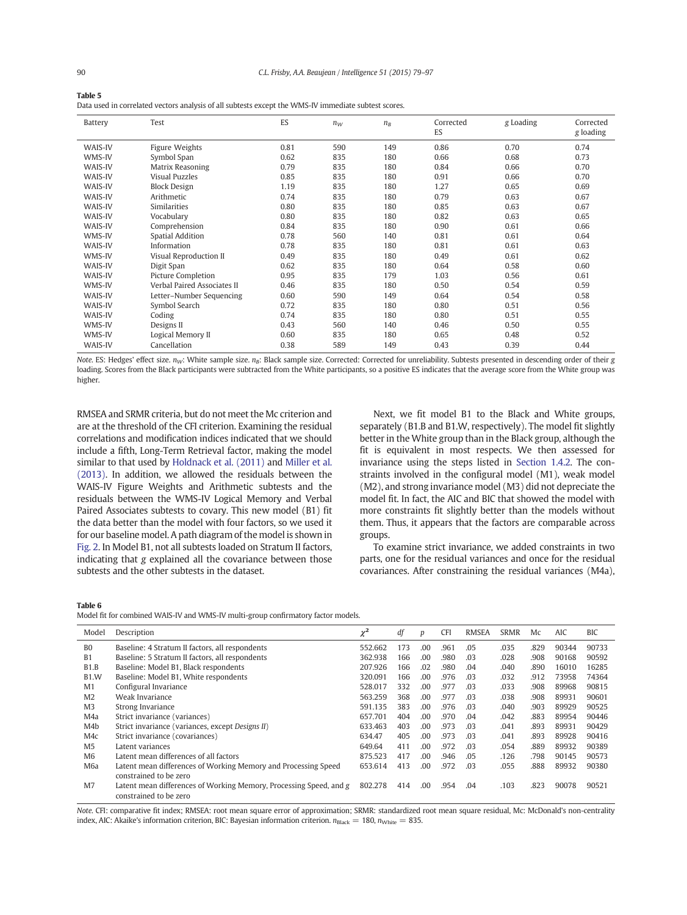| Table 5                                                                                              |
|------------------------------------------------------------------------------------------------------|
| Data used in correlated vectors analysis of all subtests except the WMS-IV immediate subtest scores. |

| Battery | Test                        | <b>ES</b> | $n_W$ | $n_B$ | Corrected<br>ES | g Loading | Corrected<br>g loading |
|---------|-----------------------------|-----------|-------|-------|-----------------|-----------|------------------------|
| WAIS-IV | Figure Weights              | 0.81      | 590   | 149   | 0.86            | 0.70      | 0.74                   |
| WMS-IV  | Symbol Span                 | 0.62      | 835   | 180   | 0.66            | 0.68      | 0.73                   |
| WAIS-IV | Matrix Reasoning            | 0.79      | 835   | 180   | 0.84            | 0.66      | 0.70                   |
| WAIS-IV | <b>Visual Puzzles</b>       | 0.85      | 835   | 180   | 0.91            | 0.66      | 0.70                   |
| WAIS-IV | <b>Block Design</b>         | 1.19      | 835   | 180   | 1.27            | 0.65      | 0.69                   |
| WAIS-IV | Arithmetic                  | 0.74      | 835   | 180   | 0.79            | 0.63      | 0.67                   |
| WAIS-IV | <b>Similarities</b>         | 0.80      | 835   | 180   | 0.85            | 0.63      | 0.67                   |
| WAIS-IV | Vocabulary                  | 0.80      | 835   | 180   | 0.82            | 0.63      | 0.65                   |
| WAIS-IV | Comprehension               | 0.84      | 835   | 180   | 0.90            | 0.61      | 0.66                   |
| WMS-IV  | Spatial Addition            | 0.78      | 560   | 140   | 0.81            | 0.61      | 0.64                   |
| WAIS-IV | Information                 | 0.78      | 835   | 180   | 0.81            | 0.61      | 0.63                   |
| WMS-IV  | Visual Reproduction II      | 0.49      | 835   | 180   | 0.49            | 0.61      | 0.62                   |
| WAIS-IV | Digit Span                  | 0.62      | 835   | 180   | 0.64            | 0.58      | 0.60                   |
| WAIS-IV | Picture Completion          | 0.95      | 835   | 179   | 1.03            | 0.56      | 0.61                   |
| WMS-IV  | Verbal Paired Associates II | 0.46      | 835   | 180   | 0.50            | 0.54      | 0.59                   |
| WAIS-IV | Letter-Number Sequencing    | 0.60      | 590   | 149   | 0.64            | 0.54      | 0.58                   |
| WAIS-IV | Symbol Search               | 0.72      | 835   | 180   | 0.80            | 0.51      | 0.56                   |
| WAIS-IV | Coding                      | 0.74      | 835   | 180   | 0.80            | 0.51      | 0.55                   |
| WMS-IV  | Designs II                  | 0.43      | 560   | 140   | 0.46            | 0.50      | 0.55                   |
| WMS-IV  | Logical Memory II           | 0.60      | 835   | 180   | 0.65            | 0.48      | 0.52                   |
| WAIS-IV | Cancellation                | 0.38      | 589   | 149   | 0.43            | 0.39      | 0.44                   |

*Note*. ES: Hedges' effect size. *n<sub>W</sub>*: White sample size. *n*<sub>B</sub>: Black sample size. Corrected: Corrected for unreliability. Subtests presented in descending order of their *g* loading. Scores from the Black participants were subtracted from the White participants, so a positive ES indicates that the average score from the White group was higher.

RMSEA and SRMR criteria, but do not meet the Mc criterion and are at the threshold of the CFI criterion. Examining the residual correlations and modification indices indicated that we should include a fifth, Long-Term Retrieval factor, making the model similar to that used by Holdnack et al. (2011) and Miller et al. (2013). In addition, we allowed the residuals between the WAIS-IV Figure Weights and Arithmetic subtests and the residuals between the WMS-IV Logical Memory and Verbal Paired Associates subtests to covary. This new model (B1) fit the data better than the model with four factors, so we used it for our baseline model. A path diagram of the model is shown in Fig. 2. In Model B1, not all subtests loaded on Stratum II factors, indicating that *g* explained all the covariance between those subtests and the other subtests in the dataset.

Next, we fit model B1 to the Black and White groups, separately (B1.B and B1.W, respectively). The model fit slightly better in the White group than in the Black group, although the fit is equivalent in most respects. We then assessed for invariance using the steps listed in Section 1.4.2. The constraints involved in the configural model (M1), weak model (M2), and strong invariance model (M3) did not depreciate the model fit. In fact, the AIC and BIC that showed the model with more constraints fit slightly better than the models without them. Thus, it appears that the factors are comparable across groups.

To examine strict invariance, we added constraints in two parts, one for the residual variances and once for the residual covariances. After constraining the residual variances (M4a),

Table 6

| Model fit for combined WAIS-IV and WMS-IV multi-group confirmatory factor models. |  |
|-----------------------------------------------------------------------------------|--|
|-----------------------------------------------------------------------------------|--|

| Model             | Description                                                        | $\chi^2$ | df  | p   | <b>CFI</b> | <b>RMSEA</b> | <b>SRMR</b> | Mc   | <b>AIC</b> | <b>BIC</b> |
|-------------------|--------------------------------------------------------------------|----------|-----|-----|------------|--------------|-------------|------|------------|------------|
| B <sub>0</sub>    | Baseline: 4 Stratum II factors, all respondents                    | 552.662  | 173 | .00 | .961       | .05          | .035        | .829 | 90344      | 90733      |
| <b>B1</b>         | Baseline: 5 Stratum II factors, all respondents                    | 362.938  | 166 | .00 | .980       | .03          | .028        | .908 | 90168      | 90592      |
| B1.B              | Baseline: Model B1, Black respondents                              | 207.926  | 166 | .02 | .980       | .04          | .040        | .890 | 16010      | 16285      |
| B <sub>1</sub> .W | Baseline: Model B1, White respondents                              | 320.091  | 166 | .00 | .976       | .03          | .032        | .912 | 73958      | 74364      |
| M1                | Configural Invariance                                              | 528.017  | 332 | .00 | .977       | .03          | .033        | .908 | 89968      | 90815      |
| M <sub>2</sub>    | Weak Invariance                                                    | 563.259  | 368 | .00 | .977       | .03          | .038        | .908 | 89931      | 90601      |
| M <sub>3</sub>    | Strong Invariance                                                  | 591.135  | 383 | .00 | .976       | .03          | .040        | .903 | 89929      | 90525      |
| M4a               | Strict invariance (variances)                                      | 657.701  | 404 | .00 | .970       | .04          | .042        | .883 | 89954      | 90446      |
| M <sub>4</sub> b  | Strict invariance (variances, except Designs II)                   | 633.463  | 403 | .00 | .973       | .03          | .041        | .893 | 89931      | 90429      |
| M4c               | Strict invariance (covariances)                                    | 634.47   | 405 | .00 | .973       | .03          | .041        | .893 | 89928      | 90416      |
| M <sub>5</sub>    | Latent variances                                                   | 649.64   | 411 | .00 | .972       | .03          | .054        | .889 | 89932      | 90389      |
| M <sub>6</sub>    | Latent mean differences of all factors                             | 875.523  | 417 | .00 | .946       | .05          | .126        | .798 | 90145      | 90573      |
| M <sub>6</sub> a  | Latent mean differences of Working Memory and Processing Speed     | 653.614  | 413 | .00 | .972       | .03          | .055        | .888 | 89932      | 90380      |
|                   | constrained to be zero                                             |          |     |     |            |              |             |      |            |            |
| M <sub>7</sub>    | Latent mean differences of Working Memory, Processing Speed, and g | 802.278  | 414 | .00 | .954       | .04          | .103        | .823 | 90078      | 90521      |
|                   | constrained to be zero                                             |          |     |     |            |              |             |      |            |            |

*Note*. CFI: comparative fit index; RMSEA: root mean square error of approximation; SRMR: standardized root mean square residual, Mc: McDonald's non-centrality index, AIC: Akaike's information criterion, BIC: Bayesian information criterion.  $n_{Black} = 180$ ,  $n_{White} = 835$ .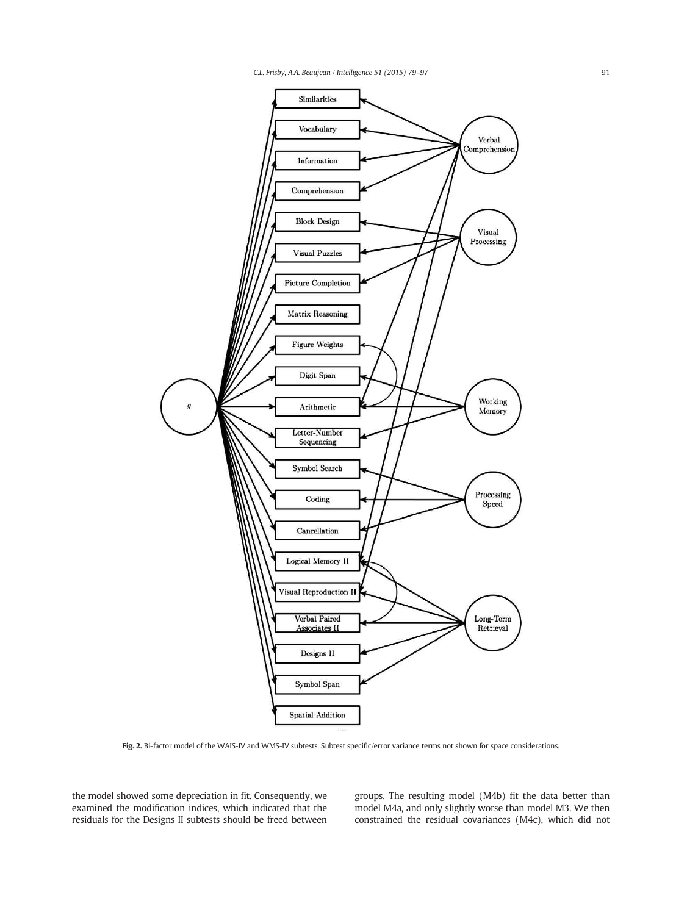

Fig. 2. Bi-factor model of the WAIS-IV and WMS-IV subtests. Subtest specific/error variance terms not shown for space considerations.

the model showed some depreciation in fit. Consequently, we examined the modification indices, which indicated that the residuals for the Designs II subtests should be freed between

groups. The resulting model (M4b) fit the data better than model M4a, and only slightly worse than model M3. We then constrained the residual covariances (M4c), which did not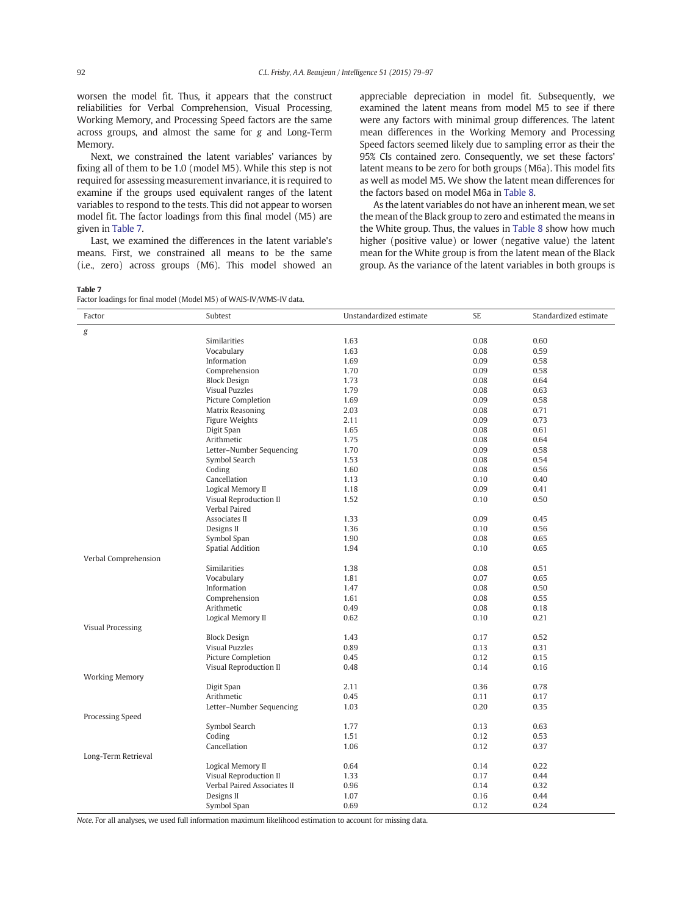worsen the model fit. Thus, it appears that the construct reliabilities for Verbal Comprehension, Visual Processing, Working Memory, and Processing Speed factors are the same across groups, and almost the same for *g* and Long-Term Memory.

Next, we constrained the latent variables' variances by fixing all of them to be 1.0 (model M5). While this step is not required for assessing measurement invariance, it is required to examine if the groups used equivalent ranges of the latent variables to respond to the tests. This did not appear to worsen model fit. The factor loadings from this final model (M5) are given in Table 7.

Last, we examined the differences in the latent variable's means. First, we constrained all means to be the same (i.e., zero) across groups (M6). This model showed an appreciable depreciation in model fit. Subsequently, we examined the latent means from model M5 to see if there were any factors with minimal group differences. The latent mean differences in the Working Memory and Processing Speed factors seemed likely due to sampling error as their the 95% CIs contained zero. Consequently, we set these factors' latent means to be zero for both groups (M6a). This model fits as well as model M5. We show the latent mean differences for the factors based on model M6a in Table 8.

As the latent variables do not have an inherent mean, we set the mean of the Black group to zero and estimated the means in the White group. Thus, the values in Table 8 show how much higher (positive value) or lower (negative value) the latent mean for the White group is from the latent mean of the Black group. As the variance of the latent variables in both groups is

Table 7

Factor loadings for final model (Model M5) of WAIS-IV/WMS-IV data.

| Factor                   | Subtest                     | Unstandardized estimate | <b>SE</b> | Standardized estimate |
|--------------------------|-----------------------------|-------------------------|-----------|-----------------------|
| $\boldsymbol{g}$         |                             |                         |           |                       |
|                          | Similarities                | 1.63                    | 0.08      | 0.60                  |
|                          | Vocabulary                  | 1.63                    | 0.08      | 0.59                  |
|                          | Information                 | 1.69                    | 0.09      | 0.58                  |
|                          | Comprehension               | 1.70                    | 0.09      | 0.58                  |
|                          | <b>Block Design</b>         | 1.73                    | 0.08      | 0.64                  |
|                          | <b>Visual Puzzles</b>       | 1.79                    | 0.08      | 0.63                  |
|                          | Picture Completion          | 1.69                    | 0.09      | 0.58                  |
|                          | Matrix Reasoning            | 2.03                    | 0.08      | 0.71                  |
|                          | Figure Weights              | 2.11                    | 0.09      | 0.73                  |
|                          | Digit Span                  | 1.65                    | 0.08      | 0.61                  |
|                          | Arithmetic                  | 1.75                    | 0.08      | 0.64                  |
|                          | Letter-Number Sequencing    | 1.70                    | 0.09      | 0.58                  |
|                          | Symbol Search               | 1.53                    | 0.08      | 0.54                  |
|                          | Coding                      | 1.60                    | 0.08      | 0.56                  |
|                          | Cancellation                | 1.13                    | 0.10      | 0.40                  |
|                          | Logical Memory II           | 1.18                    | 0.09      | 0.41                  |
|                          | Visual Reproduction II      | 1.52                    | 0.10      | 0.50                  |
|                          | Verbal Paired               |                         |           |                       |
|                          | Associates II               | 1.33                    | 0.09      | 0.45                  |
|                          | Designs II                  | 1.36                    | 0.10      | 0.56                  |
|                          | Symbol Span                 | 1.90                    | 0.08      | 0.65                  |
|                          | Spatial Addition            | 1.94                    | 0.10      | 0.65                  |
| Verbal Comprehension     |                             |                         |           |                       |
|                          | Similarities                | 1.38                    | 0.08      | 0.51                  |
|                          | Vocabulary                  | 1.81                    | 0.07      | 0.65                  |
|                          | Information                 | 1.47                    | 0.08      | 0.50                  |
|                          | Comprehension               | 1.61                    | 0.08      | 0.55                  |
|                          | Arithmetic                  | 0.49                    | 0.08      | 0.18                  |
|                          | Logical Memory II           | 0.62                    | 0.10      | 0.21                  |
| <b>Visual Processing</b> |                             |                         |           |                       |
|                          |                             | 1.43                    | 0.17      | 0.52                  |
|                          | <b>Block Design</b>         |                         |           |                       |
|                          | <b>Visual Puzzles</b>       | 0.89                    | 0.13      | 0.31                  |
|                          | Picture Completion          | 0.45                    | 0.12      | 0.15                  |
|                          | Visual Reproduction II      | 0.48                    | 0.14      | 0.16                  |
| <b>Working Memory</b>    |                             |                         |           |                       |
|                          | Digit Span                  | 2.11                    | 0.36      | 0.78                  |
|                          | Arithmetic                  | 0.45                    | 0.11      | 0.17                  |
|                          | Letter-Number Sequencing    | 1.03                    | 0.20      | 0.35                  |
| Processing Speed         |                             |                         |           |                       |
|                          | Symbol Search               | 1.77                    | 0.13      | 0.63                  |
|                          | Coding                      | 1.51                    | 0.12      | 0.53                  |
|                          | Cancellation                | 1.06                    | 0.12      | 0.37                  |
| Long-Term Retrieval      |                             |                         |           |                       |
|                          | Logical Memory II           | 0.64                    | 0.14      | 0.22                  |
|                          | Visual Reproduction II      | 1.33                    | 0.17      | 0.44                  |
|                          | Verbal Paired Associates II | 0.96                    | 0.14      | 0.32                  |
|                          | Designs II                  | 1.07                    | 0.16      | 0.44                  |
|                          | Symbol Span                 | 0.69                    | 0.12      | 0.24                  |

*Note*. For all analyses, we used full information maximum likelihood estimation to account for missing data.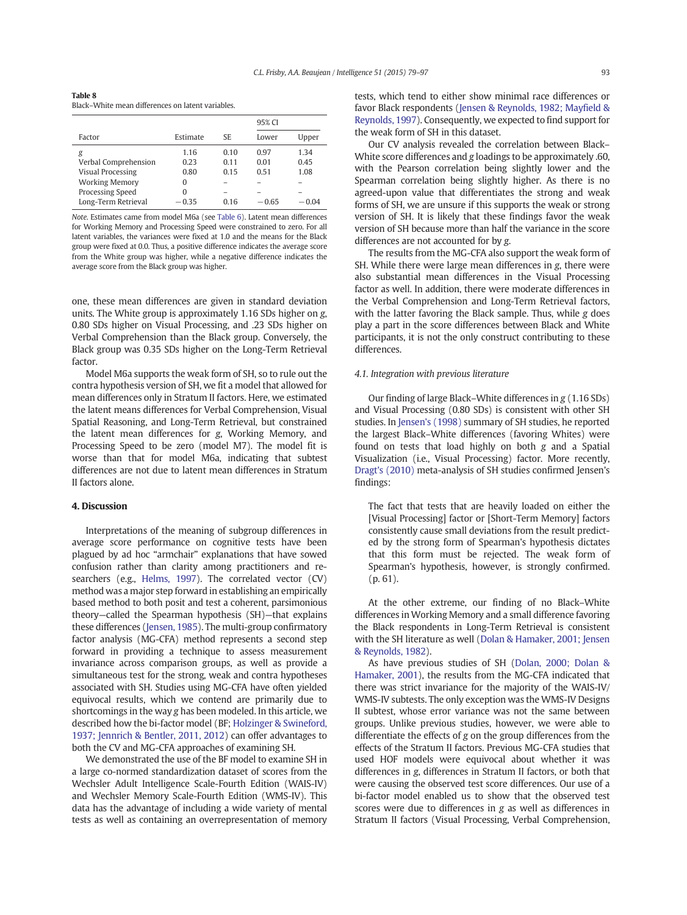| Factor                   | Estimate | SE.  | Lower | Upper   |
|--------------------------|----------|------|-------|---------|
| g                        | 1.16     | 0.10 | 0.97  | 1.34    |
| Verbal Comprehension     | 0.23     | 0.11 | 0.01  | 0.45    |
| <b>Visual Processing</b> | 0.80     | 0.15 | 0.51  | 1.08    |
| <b>Working Memory</b>    | O        |      |       |         |
| Processing Speed         | O        |      |       |         |
| Long-Term Retrieval      | $-0.35$  | 0.16 | 0.65  | $-0.04$ |

*Note*. Estimates came from model M6a (see Table 6). Latent mean differences for Working Memory and Processing Speed were constrained to zero. For all latent variables, the variances were fixed at 1.0 and the means for the Black group were fixed at 0.0. Thus, a positive difference indicates the average score from the White group was higher, while a negative difference indicates the average score from the Black group was higher.

one, these mean differences are given in standard deviation units. The White group is approximately 1.16 SDs higher on *g*, 0.80 SDs higher on Visual Processing, and .23 SDs higher on Verbal Comprehension than the Black group. Conversely, the Black group was 0.35 SDs higher on the Long-Term Retrieval factor.

Model M6a supports the weak form of SH, so to rule out the contra hypothesis version of SH, we fit a model that allowed for mean differences only in Stratum II factors. Here, we estimated the latent means differences for Verbal Comprehension, Visual Spatial Reasoning, and Long-Term Retrieval, but constrained the latent mean differences for *g*, Working Memory, and Processing Speed to be zero (model M7). The model fit is worse than that for model M6a, indicating that subtest differences are not due to latent mean differences in Stratum II factors alone.

#### 4. Discussion

Interpretations of the meaning of subgroup differences in average score performance on cognitive tests have been plagued by ad hoc "armchair" explanations that have sowed confusion rather than clarity among practitioners and researchers (e.g., Helms, 1997). The correlated vector (CV) method was a major step forward in establishing an empirically based method to both posit and test a coherent, parsimonious theory—called the Spearman hypothesis (SH)—that explains these differences (Jensen, 1985). The multi-group confirmatory factor analysis (MG-CFA) method represents a second step forward in providing a technique to assess measurement invariance across comparison groups, as well as provide a simultaneous test for the strong, weak and contra hypotheses associated with SH. Studies using MG-CFA have often yielded equivocal results, which we contend are primarily due to shortcomings in the way *g* has been modeled. In this article, we described how the bi-factor model (BF; Holzinger & Swineford, 1937; Jennrich & Bentler, 2011, 2012) can offer advantages to both the CV and MG-CFA approaches of examining SH.

We demonstrated the use of the BF model to examine SH in a large co-normed standardization dataset of scores from the Wechsler Adult Intelligence Scale-Fourth Edition (WAIS-IV) and Wechsler Memory Scale-Fourth Edition (WMS-IV). This data has the advantage of including a wide variety of mental tests as well as containing an overrepresentation of memory tests, which tend to either show minimal race differences or favor Black respondents (Jensen & Reynolds, 1982; Mayfield & Reynolds, 1997). Consequently, we expected to find support for the weak form of SH in this dataset.

Our CV analysis revealed the correlation between Black– White score differences and *g* loadings to be approximately .60, with the Pearson correlation being slightly lower and the Spearman correlation being slightly higher. As there is no agreed-upon value that differentiates the strong and weak forms of SH, we are unsure if this supports the weak or strong version of SH. It is likely that these findings favor the weak version of SH because more than half the variance in the score differences are not accounted for by *g*.

The results from the MG-CFA also support the weak form of SH. While there were large mean differences in *g*, there were also substantial mean differences in the Visual Processing factor as well. In addition, there were moderate differences in the Verbal Comprehension and Long-Term Retrieval factors, with the latter favoring the Black sample. Thus, while *g* does play a part in the score differences between Black and White participants, it is not the only construct contributing to these differences.

#### *4.1. Integration with previous literature*

Our finding of large Black–White differences in *g* (1.16 SDs) and Visual Processing (0.80 SDs) is consistent with other SH studies. In Jensen's (1998) summary of SH studies, he reported the largest Black–White differences (favoring Whites) were found on tests that load highly on both *g* and a Spatial Visualization (i.e., Visual Processing) factor. More recently, Dragt's (2010) meta-analysis of SH studies confirmed Jensen's findings:

The fact that tests that are heavily loaded on either the [Visual Processing] factor or [Short-Term Memory] factors consistently cause small deviations from the result predicted by the strong form of Spearman's hypothesis dictates that this form must be rejected. The weak form of Spearman's hypothesis, however, is strongly confirmed. (p. 61).

At the other extreme, our finding of no Black–White differences in Working Memory and a small difference favoring the Black respondents in Long-Term Retrieval is consistent with the SH literature as well (Dolan & Hamaker, 2001; Jensen & Reynolds, 1982).

As have previous studies of SH (Dolan, 2000; Dolan & Hamaker, 2001), the results from the MG-CFA indicated that there was strict invariance for the majority of the WAIS-IV/ WMS-IV subtests. The only exception was the WMS-IV Designs II subtest, whose error variance was not the same between groups. Unlike previous studies, however, we were able to differentiate the effects of *g* on the group differences from the effects of the Stratum II factors. Previous MG-CFA studies that used HOF models were equivocal about whether it was differences in *g*, differences in Stratum II factors, or both that were causing the observed test score differences. Our use of a bi-factor model enabled us to show that the observed test scores were due to differences in *g* as well as differences in Stratum II factors (Visual Processing, Verbal Comprehension,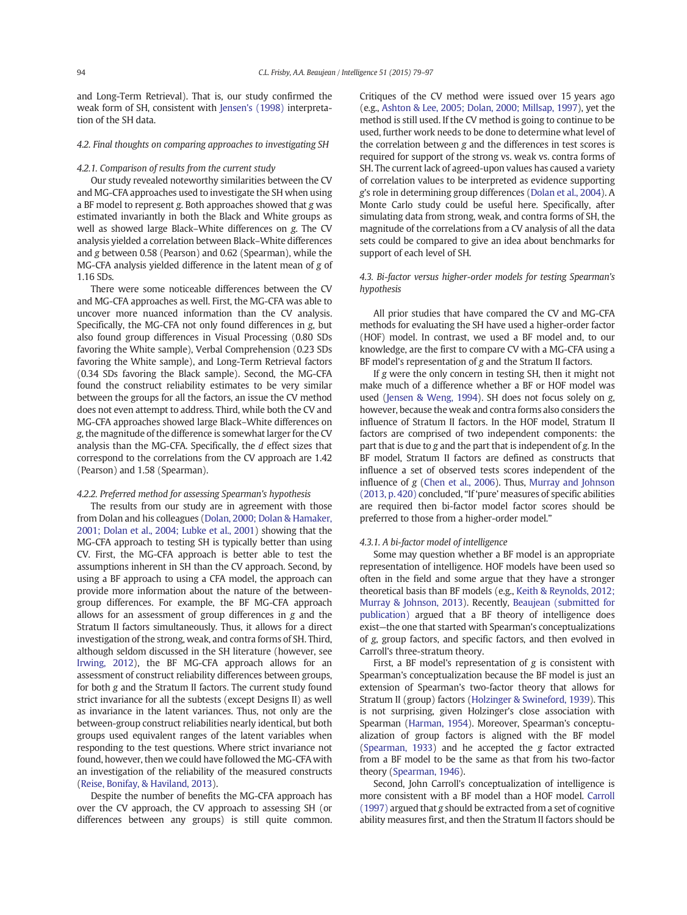and Long-Term Retrieval). That is, our study confirmed the weak form of SH, consistent with Jensen's (1998) interpretation of the SH data.

#### *4.2. Final thoughts on comparing approaches to investigating SH*

## *4.2.1. Comparison of results from the current study*

Our study revealed noteworthy similarities between the CV and MG-CFA approaches used to investigate the SH when using a BF model to represent *g*. Both approaches showed that *g* was estimated invariantly in both the Black and White groups as well as showed large Black–White differences on *g*. The CV analysis yielded a correlation between Black–White differences and *g* between 0.58 (Pearson) and 0.62 (Spearman), while the MG-CFA analysis yielded difference in the latent mean of *g* of 1.16 SDs.

There were some noticeable differences between the CV and MG-CFA approaches as well. First, the MG-CFA was able to uncover more nuanced information than the CV analysis. Specifically, the MG-CFA not only found differences in *g*, but also found group differences in Visual Processing (0.80 SDs favoring the White sample), Verbal Comprehension (0.23 SDs favoring the White sample), and Long-Term Retrieval factors (0.34 SDs favoring the Black sample). Second, the MG-CFA found the construct reliability estimates to be very similar between the groups for all the factors, an issue the CV method does not even attempt to address. Third, while both the CV and MG-CFA approaches showed large Black–White differences on *g*, the magnitude of the difference is somewhat larger for the CV analysis than the MG-CFA. Specifically, the *d* effect sizes that correspond to the correlations from the CV approach are 1.42 (Pearson) and 1.58 (Spearman).

#### *4.2.2. Preferred method for assessing Spearman's hypothesis*

The results from our study are in agreement with those from Dolan and his colleagues (Dolan, 2000; Dolan & Hamaker, 2001; Dolan et al., 2004; Lubke et al., 2001) showing that the MG-CFA approach to testing SH is typically better than using CV. First, the MG-CFA approach is better able to test the assumptions inherent in SH than the CV approach. Second, by using a BF approach to using a CFA model, the approach can provide more information about the nature of the betweengroup differences. For example, the BF MG-CFA approach allows for an assessment of group differences in *g* and the Stratum II factors simultaneously. Thus, it allows for a direct investigation of the strong, weak, and contra forms of SH. Third, although seldom discussed in the SH literature (however, see Irwing, 2012), the BF MG-CFA approach allows for an assessment of construct reliability differences between groups, for both *g* and the Stratum II factors. The current study found strict invariance for all the subtests (except Designs II) as well as invariance in the latent variances. Thus, not only are the between-group construct reliabilities nearly identical, but both groups used equivalent ranges of the latent variables when responding to the test questions. Where strict invariance not found, however, then we could have followed the MG-CFA with an investigation of the reliability of the measured constructs (Reise, Bonifay, & Haviland, 2013).

Despite the number of benefits the MG-CFA approach has over the CV approach, the CV approach to assessing SH (or differences between any groups) is still quite common.

Critiques of the CV method were issued over 15 years ago (e.g., Ashton & Lee, 2005; Dolan, 2000; Millsap, 1997), yet the method is still used. If the CV method is going to continue to be used, further work needs to be done to determine what level of the correlation between *g* and the differences in test scores is required for support of the strong vs. weak vs. contra forms of SH. The current lack of agreed-upon values has caused a variety of correlation values to be interpreted as evidence supporting *g*'s role in determining group differences (Dolan et al., 2004). A Monte Carlo study could be useful here. Specifically, after simulating data from strong, weak, and contra forms of SH, the magnitude of the correlations from a CV analysis of all the data sets could be compared to give an idea about benchmarks for support of each level of SH.

### *4.3. Bi-factor versus higher-order models for testing Spearman's hypothesis*

All prior studies that have compared the CV and MG-CFA methods for evaluating the SH have used a higher-order factor (HOF) model. In contrast, we used a BF model and, to our knowledge, are the first to compare CV with a MG-CFA using a BF model's representation of *g* and the Stratum II factors.

If *g* were the only concern in testing SH, then it might not make much of a difference whether a BF or HOF model was used (Jensen & Weng, 1994). SH does not focus solely on *g*, however, because the weak and contra forms also considers the influence of Stratum II factors. In the HOF model, Stratum II factors are comprised of two independent components: the part that is due to *g* and the part that is independent of *g*. In the BF model, Stratum II factors are defined as constructs that influence a set of observed tests scores independent of the influence of *g* (Chen et al., 2006). Thus, Murray and Johnson (2013, p. 420) concluded, "If 'pure' measures of specific abilities are required then bi-factor model factor scores should be preferred to those from a higher-order model."

#### *4.3.1. A bi-factor model of intelligence*

Some may question whether a BF model is an appropriate representation of intelligence. HOF models have been used so often in the field and some argue that they have a stronger theoretical basis than BF models (e.g., Keith & Reynolds, 2012; Murray & Johnson, 2013). Recently, Beaujean (submitted for publication) argued that a BF theory of intelligence does exist—the one that started with Spearman's conceptualizations of *g*, group factors, and specific factors, and then evolved in Carroll's three-stratum theory.

First, a BF model's representation of *g* is consistent with Spearman's conceptualization because the BF model is just an extension of Spearman's two-factor theory that allows for Stratum II (group) factors (Holzinger & Swineford, 1939). This is not surprising, given Holzinger's close association with Spearman (Harman, 1954). Moreover, Spearman's conceptualization of group factors is aligned with the BF model (Spearman, 1933) and he accepted the *g* factor extracted from a BF model to be the same as that from his two-factor theory (Spearman, 1946).

Second, John Carroll's conceptualization of intelligence is more consistent with a BF model than a HOF model. Carroll (1997) argued that *g* should be extracted from a set of cognitive ability measures first, and then the Stratum II factors should be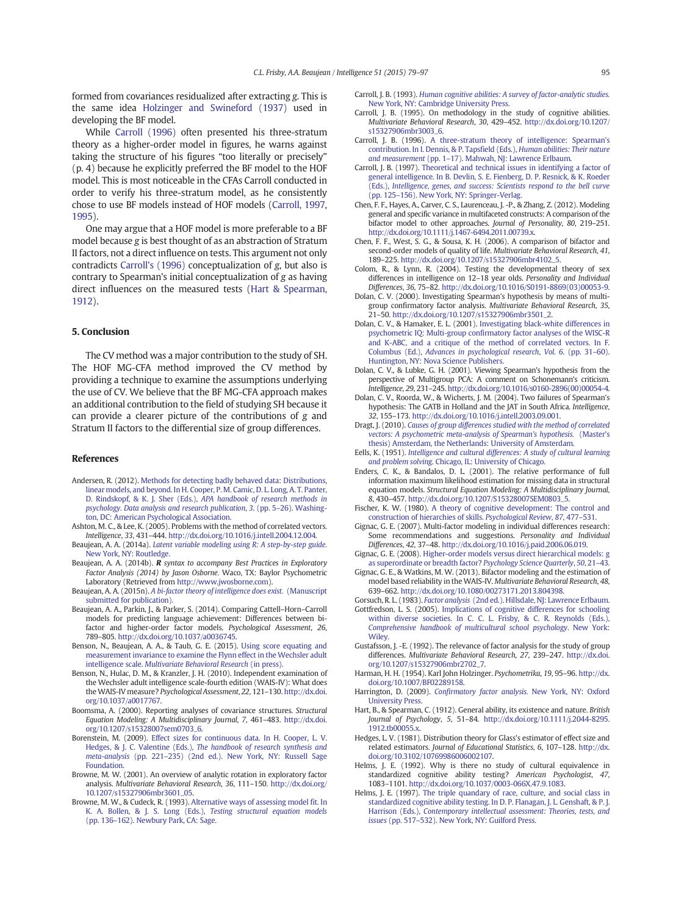formed from covariances residualized after extracting *g*. This is the same idea Holzinger and Swineford (1937) used in developing the BF model.

While Carroll (1996) often presented his three-stratum theory as a higher-order model in figures, he warns against taking the structure of his figures "too literally or precisely" (p. 4) because he explicitly preferred the BF model to the HOF model. This is most noticeable in the CFAs Carroll conducted in order to verify his three-stratum model, as he consistently chose to use BF models instead of HOF models (Carroll, 1997, 1995).

One may argue that a HOF model is more preferable to a BF model because *g* is best thought of as an abstraction of Stratum II factors, not a direct influence on tests. This argument not only contradicts Carroll's (1996) conceptualization of *g*, but also is contrary to Spearman's initial conceptualization of *g* as having direct influences on the measured tests (Hart & Spearman, 1912).

#### 5. Conclusion

The CV method was a major contribution to the study of SH. The HOF MG-CFA method improved the CV method by providing a technique to examine the assumptions underlying the use of CV. We believe that the BF MG-CFA approach makes an additional contribution to the field of studying SH because it can provide a clearer picture of the contributions of *g* and Stratum II factors to the differential size of group differences.

#### References

- Andersen, R. (2012). Methods for detecting badly behaved data: Distributions, linear models, and beyond. In H. Cooper, P. M. Camic, D. L. Long, A. T. Panter, D. Rindskopf, & K. J. Sher (Eds.), *APA handbook of research methods in psychology. Data analysis and research publication*, *3*. (pp. 5–26). Washington, DC: American Psychological Association.
- Ashton, M. C., & Lee, K. (2005). Problems with the method of correlated vectors. *Intelligence*, *33*, 431–444. http://dx.doi.org/10.1016/j.intell.2004.12.004.
- Beaujean, A. A. (2014a). *Latent variable modeling using R: A step-by-step guide.* New York, NY: Routledge.
- Beaujean, A. A. (2014b). R *syntax to accompany Best Practices in Exploratory Factor Analysis (2014) by Jason Osborne.* Waco, TX: Baylor Psychometric Laboratory (Retrieved from http://www.jwosborne.com).
- Beaujean, A. A. (2015n). *A bi-factor theory of intelligence does exist.* (Manuscript submitted for publication).
- Beaujean, A. A., Parkin, J., & Parker, S. (2014). Comparing Cattell–Horn–Carroll models for predicting language achievement: Differences between bifactor and higher-order factor models. *Psychological Assessment*, *26*, 789–805. http://dx.doi.org/10.1037/a0036745.
- Benson, N., Beaujean, A. A., & Taub, G. E. (2015). Using score equating and measurement invariance to examine the Flynn effect in the Wechsler adult intelligence scale. *Multivariate Behavioral Research* (in press).
- Benson, N., Hulac, D. M., & Kranzler, J. H. (2010). Independent examination of the Wechsler adult intelligence scale-fourth edition (WAIS-IV): What does theWAIS-IV measure? *Psychological Assessment*, *22*, 121–130. http://dx.doi. org/10.1037/a0017767.
- Boomsma, A. (2000). Reporting analyses of covariance structures. *Structural Equation Modeling: A Multidisciplinary Journal*, *7*, 461–483. http://dx.doi. org/10.1207/s15328007sem0703\_6.
- Borenstein, M. (2009). Effect sizes for continuous data. In H. Cooper, L. V. Hedges, & J. C. Valentine (Eds.), *The handbook of research synthesis and meta-analysis* (pp. 221–235) (2nd ed.). New York, NY: Russell Sage Foundation.
- Browne, M. W. (2001). An overview of analytic rotation in exploratory factor analysis. *Multivariate Behavioral Research*, *36*, 111–150. http://dx.doi.org/ 10.1207/s15327906mbr3601\_05.
- Browne, M. W., & Cudeck, R. (1993). Alternative ways of assessing model fit. In K. A. Bollen, & J. S. Long (Eds.), *Testing structural equation models* (pp. 136–162). Newbury Park, CA: Sage.
- Carroll, J. B. (1993). *Human cognitive abilities: A survey of factor-analytic studies.* New York, NY: Cambridge University Press.
- Carroll, J. B. (1995). On methodology in the study of cognitive abilities. *Multivariate Behavioral Research*, *30*, 429–452. http://dx.doi.org/10.1207/ s15327906mbr3003\_6.
- Carroll, J. B. (1996). A three-stratum theory of intelligence: Spearman's contribution. In I. Dennis, & P. Tapsfield (Eds.), *Human abilities: Their nature and measurement* (pp. 1–17). Mahwah, NJ: Lawrence Erlbaum.
- Carroll, J. B. (1997). Theoretical and technical issues in identifying a factor of general intelligence. In B. Devlin, S. E. Fienberg, D. P. Resnick, & K. Roeder (Eds.), *Intelligence, genes, and success: Scientists respond to the bell curve* (pp. 125–156). New York, NY: Springer-Verlag.
- Chen, F. F., Hayes, A., Carver, C. S., Laurenceau, J. -P., & Zhang, Z. (2012). Modeling general and specific variance in multifaceted constructs: A comparison of the bifactor model to other approaches. *Journal of Personality*, *80*, 219–251. http://dx.doi.org/10.1111/j.1467-6494.2011.00739.x.
- Chen, F. F., West, S. G., & Sousa, K. H. (2006). A comparison of bifactor and second-order models of quality of life. *Multivariate Behavioral Research*, *41*, 189–225. http://dx.doi.org/10.1207/s15327906mbr4102\_5.
- Colom, R., & Lynn, R. (2004). Testing the developmental theory of sex differences in intelligence on 12–18 year olds. *Personality and Individual Differences*, *36*, 75–82. http://dx.doi.org/10.1016/S0191-8869(03)00053-9.
- Dolan, C. V. (2000). Investigating Spearman's hypothesis by means of multigroup confirmatory factor analysis. *Multivariate Behavioral Research*, *35*, 21–50. http://dx.doi.org/10.1207/s15327906mbr3501\_2.
- Dolan, C. V., & Hamaker, E. L. (2001). Investigating black-white differences in psychometric IQ: Multi-group confirmatory factor analyses of the WISC-R and K-ABC, and a critique of the method of correlated vectors. In F. Columbus (Ed.), *Advances in psychological research*, *Vol. 6*. (pp. 31–60). Huntington, NY: Nova Science Publishers.
- Dolan, C. V., & Lubke, G. H. (2001). Viewing Spearman's hypothesis from the perspective of Multigroup PCA: A comment on Schonemann's criticism. *Intelligence*, *29*, 231–245. http://dx.doi.org/10.1016/s0160-2896(00)00054-4.
- Dolan, C. V., Roorda, W., & Wicherts, J. M. (2004). Two failures of Spearman's hypothesis: The GATB in Holland and the JAT in South Africa. *Intelligence*, *32*, 155–173. http://dx.doi.org/10.1016/j.intell.2003.09.001.
- Dragt, J. (2010). *Causes of group differences studied with the method of correlated vectors: A psychometric meta-analysis of Spearman's hypothesis.* (Master's thesis) Amsterdam, the Netherlands: University of Amsterdam.
- Eells, K. (1951). *Intelligence and cultural differences: A study of cultural learning and problem solving.* Chicago, IL: University of Chicago.
- Enders, C. K., & Bandalos, D. L. (2001). The relative performance of full information maximum likelihood estimation for missing data in structural equation models. *Structural Equation Modeling: A Multidisciplinary Journal*, *8*, 430–457. http://dx.doi.org/10.1207/S15328007SEM0803\_5.
- Fischer, K. W. (1980). A theory of cognitive development: The control and construction of hierarchies of skills. *Psychological Review*, *87*, 477–531.
- Gignac, G. E. (2007). Multi-factor modeling in individual differences research: Some recommendations and suggestions. *Personality and Individual Differences*, *42*, 37–48. http://dx.doi.org/10.1016/j.paid.2006.06.019.
- Gignac, G. E. (2008). Higher-order models versus direct hierarchical models: g as superordinate or breadth factor? *Psychology Science Quarterly*, *50*, 21–43.
- Gignac, G. E., & Watkins, M. W. (2013). Bifactor modeling and the estimation of model based reliability in the WAIS-IV. *Multivariate Behavioral Research*, *48*, 639–662. http://dx.doi.org/10.1080/00273171.2013.804398.
- Gorsuch, R. L. (1983). *Factor analysis* (2nd ed.). Hillsdale, NJ: Lawrence Erlbaum. Gottfredson, L. S. (2005). Implications of cognitive differences for schooling within diverse societies. In C. C. L. Frisby, & C. R. Reynolds (Eds.) *Comprehensive handbook of multicultural school psychology*. New York: Wiley.
- Gustafsson, J. -E. (1992). The relevance of factor analysis for the study of group differences. *Multivariate Behavioral Research*, *27*, 239–247. http://dx.doi. org/10.1207/s15327906mbr2702\_7.
- Harman, H. H. (1954). Karl John Holzinger. *Psychometrika*, *19*, 95–96. http://dx. doi.org/10.1007/BF02289158.
- Harrington, D. (2009). *Confirmatory factor analysis.* New York, NY: Oxford University Press.
- Hart, B., & Spearman, C. (1912). General ability, its existence and nature. *British Journal of Psychology*, *5*, 51–84. http://dx.doi.org/10.1111/j.2044-8295. 1912.tb00055.x.
- Hedges, L. V. (1981). Distribution theory for Glass's estimator of effect size and related estimators. *Journal of Educational Statistics*, *6*, 107–128. http://dx. doi.org/10.3102/10769986006002107.
- Helms, J. E. (1992). Why is there no study of cultural equivalence in standardized cognitive ability testing? *American Psychologist*, *47*, 1083–1101. http://dx.doi.org/10.1037/0003-066X.47.9.1083.
- Helms, J. E. (1997). The triple quandary of race, culture, and social class in standardized cognitive ability testing. In D. P. Flanagan, J. L. Genshaft, & P. J. Harrison (Eds.), *Contemporary intellectual assessment: Theories, tests, and issues* (pp. 517–532). New York, NY: Guilford Press.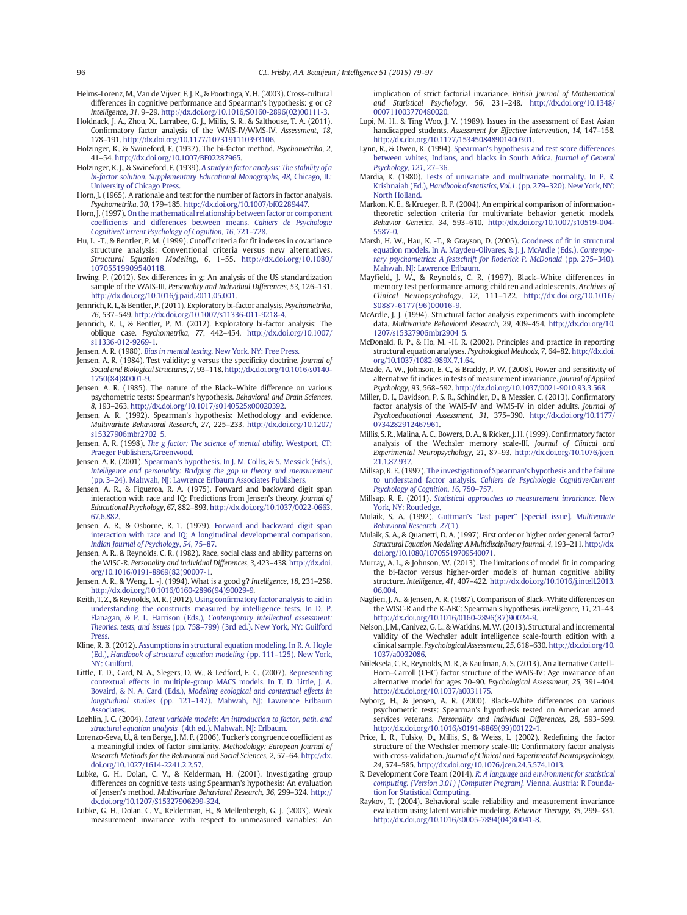- Helms-Lorenz, M., Van de Vijver, F. J. R., & Poortinga, Y. H. (2003). Cross-cultural differences in cognitive performance and Spearman's hypothesis: g or c? *Intelligence*, *31*, 9–29. http://dx.doi.org/10.1016/S0160-2896(02)00111-3.
- Holdnack, J. A., Zhou, X., Larrabee, G. J., Millis, S. R., & Salthouse, T. A. (2011). Confirmatory factor analysis of the WAIS-IV/WMS-IV. *Assessment*, *18*, 178–191. http://dx.doi.org/10.1177/1073191110393106.
- Holzinger, K., & Swineford, F. (1937). The bi-factor method. *Psychometrika*, *2*, 41–54. http://dx.doi.org/10.1007/BF02287965.
- Holzinger, K. J., & Swineford, F. (1939). *A study in factor analysis: The stability of a bi-factor solution. Supplementary Educational Monographs*, *48*, Chicago, IL: University of Chicago Press.
- Horn, J. (1965). A rationale and test for the number of factors in factor analysis. *Psychometrika*, *30*, 179–185. http://dx.doi.org/10.1007/bf02289447.
- Horn, J. (1997). On the mathematical relationship between factor or component coefficients and differences between means. *Cahiers de Psychologie Cognitive/Current Psychology of Cognition*, *16*, 721–728.
- Hu, L. -T., & Bentler, P. M. (1999). Cutoff criteria for fit indexes in covariance structure analysis: Conventional criteria versus new alternatives. *Structural Equation Modeling*, *6*, 1–55. http://dx.doi.org/10.1080/ 10705519909540118.
- Irwing, P. (2012). Sex differences in g: An analysis of the US standardization sample of the WAIS-III. *Personality and Individual Differences*, *53*, 126–131. http://dx.doi.org/10.1016/j.paid.2011.05.001.
- Jennrich, R. I., & Bentler, P. (2011). Exploratory bi-factor analysis. *Psychometrika*, *76*, 537–549. http://dx.doi.org/10.1007/s11336-011-9218-4.
- Jennrich, R. I., & Bentler, P. M. (2012). Exploratory bi-factor analysis: The oblique case. *Psychometrika*, *77*, 442–454. http://dx.doi.org/10.1007/ s11336-012-9269-1.
- Jensen, A. R. (1980). *Bias in mental testing.* New York, NY: Free Press.
- Jensen, A. R. (1984). Test validity: *g* versus the specificity doctrine. *Journal of Social and Biological Structures*, *7*, 93–118. http://dx.doi.org/10.1016/s0140- 1750(84)80001-9.
- Jensen, A. R. (1985). The nature of the Black–White difference on various psychometric tests: Spearman's hypothesis. *Behavioral and Brain Sciences*, *8*, 193–263. http://dx.doi.org/10.1017/s0140525x00020392.
- Jensen, A. R. (1992). Spearman's hypothesis: Methodology and evidence. *Multivariate Behavioral Research*, *27*, 225–233. http://dx.doi.org/10.1207/ s15327906mbr2702\_5.
- Jensen, A. R. (1998). *The g factor: The science of mental ability.* Westport, CT: Praeger Publishers/Greenwood.
- Jensen, A. R. (2001). Spearman's hypothesis. In J. M. Collis, & S. Messick (Eds.), *Intelligence and personality: Bridging the gap in theory and measurement* (pp. 3–24). Mahwah, NJ: Lawrence Erlbaum Associates Publishers.
- Jensen, A. R., & Figueroa, R. A. (1975). Forward and backward digit span interaction with race and IQ: Predictions from Jensen's theory. *Journal of Educational Psychology*, *67*, 882–893. http://dx.doi.org/10.1037/0022-0663. 67.6.882.
- Jensen, A. R., & Osborne, R. T. (1979). Forward and backward digit span interaction with race and IQ: A longitudinal developmental comparison. *Indian Journal of Psychology*, *54*, 75–87.
- Jensen, A. R., & Reynolds, C. R. (1982). Race, social class and ability patterns on the WISC-R. *Personality and Individual Differences*, *3*, 423–438. http://dx.doi. org/10.1016/0191-8869(82)90007-1.
- Jensen, A. R., & Weng, L. -J. (1994). What is a good g? *Intelligence*, *18*, 231–258. http://dx.doi.org/10.1016/0160-2896(94)90029-9.
- Keith, T. Z., & Reynolds, M. R. (2012). Using confirmatory factor analysis to aid in understanding the constructs measured by intelligence tests. In D. P. Flanagan, & P. L. Harrison (Eds.), *Contemporary intellectual assessment: Theories, tests, and issues* (pp. 758–799) (3rd ed.). New York, NY: Guilford Press.
- Kline, R. B. (2012). Assumptions in structural equation modeling. In R. A. Hoyle (Ed.), *Handbook of structural equation modeling* (pp. 111–125). New York, NY: Guilford.
- Little, T. D., Card, N. A., Slegers, D. W., & Ledford, E. C. (2007). Representing contextual effects in multiple-group MACS models. In T. D. Little, J. A. Bovaird, & N. A. Card (Eds.), *Modeling ecological and contextual effects in longitudinal studies* (pp. 121–147). Mahwah, NJ: Lawrence Erlbaum **Associates**
- Loehlin, J. C. (2004). *Latent variable models: An introduction to factor, path, and structural equation analysis* (4th ed.). Mahwah, NJ: Erlbaum.
- Lorenzo-Seva, U., & ten Berge, J. M. F. (2006). Tucker's congruence coefficient as a meaningful index of factor similarity. *Methodology: European Journal of Research Methods for the Behavioral and Social Sciences*, *2*, 57–64. http://dx. doi.org/10.1027/1614-2241.2.2.57.
- Lubke, G. H., Dolan, C. V., & Kelderman, H. (2001). Investigating group differences on cognitive tests using Spearman's hypothesis: An evaluation of Jensen's method. *Multivariate Behavioral Research*, *36*, 299–324. http:// dx.doi.org/10.1207/S15327906299-324.
- Lubke, G. H., Dolan, C. V., Kelderman, H., & Mellenbergh, G. J. (2003). Weak measurement invariance with respect to unmeasured variables: An

implication of strict factorial invariance. *British Journal of Mathematical and Statistical Psychology*, *56*, 231–248. http://dx.doi.org/10.1348/ 000711003770480020.

- Lupi, M. H., & Ting Woo, J. Y. (1989). Issues in the assessment of East Asian handicapped students. *Assessment for Effective Intervention*, *14*, 147–158. http://dx.doi.org/10.1177/153450848901400301.
- Lynn, R., & Owen, K. (1994). Spearman's hypothesis and test score differences between whites, Indians, and blacks in South Africa. *Journal of General Psychology*, *121*, 27–36.
- Mardia, K. (1980). Tests of univariate and multivariate normality. In P. R. Krishnaiah (Ed.), *Handbook of statistics*, *Vol.1*. (pp. 279–320). New York, NY: North Holland.
- Markon, K. E., & Krueger, R. F. (2004). An empirical comparison of informationtheoretic selection criteria for multivariate behavior genetic models. *Behavior Genetics*, *34*, 593–610. http://dx.doi.org/10.1007/s10519-004- 5587-0.
- Marsh, H. W., Hau, K. -T., & Grayson, D. (2005). Goodness of fit in structural equation models. In A. Maydeu-Olivares, & J. J. McArdle (Eds.), *Contemporary psychometrics: A festschrift for Roderick P. McDonald* (pp. 275–340). Mahwah, NJ: Lawrence Erlbaum.
- Mayfield, J. W., & Reynolds, C. R. (1997). Black–White differences in memory test performance among children and adolescents. *Archives of Clinical Neuropsychology*, *12*, 111–122. http://dx.doi.org/10.1016/ S0887-6177(96)00016-9.
- McArdle, J. J. (1994). Structural factor analysis experiments with incomplete data. *Multivariate Behavioral Research*, *29*, 409–454. http://dx.doi.org/10. 1207/s15327906mbr2904\_5.
- McDonald, R. P., & Ho, M. -H. R. (2002). Principles and practice in reporting structural equation analyses. *Psychological Methods*, *7*, 64–82. http://dx.doi. org/10.1037/1082-989X.7.1.64.
- Meade, A. W., Johnson, E. C., & Braddy, P. W. (2008). Power and sensitivity of alternative fit indices in tests of measurement invariance. *Journal of Applied Psychology*, *93*, 568–592. http://dx.doi.org/10.1037/0021-9010.93.3.568.
- Miller, D. I., Davidson, P. S. R., Schindler, D., & Messier, C. (2013). Confirmatory factor analysis of the WAIS-IV and WMS-IV in older adults. *Journal of Psychoeducational Assessment*, *31*, 375–390. http://dx.doi.org/10.1177/ 0734282912467961.
- Millis, S. R., Malina, A. C., Bowers, D. A., & Ricker, J. H. (1999). Confirmatory factor analysis of the Wechsler memory scale-III. *Journal of Clinical and Experimental Neuropsychology*, *21*, 87–93. http://dx.doi.org/10.1076/jcen. 21.1.87.937.
- Millsap, R. E. (1997). The investigation of Spearman's hypothesis and the failure to understand factor analysis. *Cahiers de Psychologie Cognitive/Current Psychology of Cognition*, *16*, 750–757.
- Millsap, R. E. (2011). *Statistical approaches to measurement invariance.* New York, NY: Routledge.
- Mulaik, S. A. (1992). Guttman's "last paper" [Special issue]. *Multivariate Behavioral Research*, *27*(1).
- Mulaik, S. A., & Quartetti, D. A. (1997). First order or higher order general factor? *Structural Equation Modeling: A Multidisciplinary Journal*, *4*, 193–211. http://dx. doi.org/10.1080/10705519709540071.
- Murray, A. L., & Johnson, W. (2013). The limitations of model fit in comparing the bi-factor versus higher-order models of human cognitive ability structure. *Intelligence*, *41*, 407–422. http://dx.doi.org/10.1016/j.intell.2013. 06.004.
- Naglieri, J. A., & Jensen, A. R. (1987). Comparison of Black–White differences on the WISC-R and the K-ABC: Spearman's hypothesis. *Intelligence*, *11*, 21–43. http://dx.doi.org/10.1016/0160-2896(87)90024-9.
- Nelson, J. M., Canivez, G. L., & Watkins, M.W. (2013). Structural and incremental validity of the Wechsler adult intelligence scale-fourth edition with a clinical sample. *Psychological Assessment*, *25*, 618–630. http://dx.doi.org/10. 1037/a0032086.
- Niileksela, C. R., Reynolds, M. R., & Kaufman, A. S. (2013). An alternative Cattell– Horn–Carroll (CHC) factor structure of the WAIS-IV: Age invariance of an alternative model for ages 70–90. *Psychological Assessment*, *25*, 391–404. http://dx.doi.org/10.1037/a0031175.
- Nyborg, H., & Jensen, A. R. (2000). Black–White differences on various psychometric tests: Spearman's hypothesis tested on American armed services veterans. *Personality and Individual Differences*, *28*, 593–599. http://dx.doi.org/10.1016/s0191-8869(99)00122-1.
- Price, L. R., Tulsky, D., Millis, S., & Weiss, L. (2002). Redefining the factor structure of the Wechsler memory scale-III: Confirmatory factor analysis with cross-validation. *Journal of Clinical and Experimental Neuropsychology*, *24*, 574–585. http://dx.doi.org/10.1076/jcen.24.5.574.1013.
- R. Development Core Team (2014). *R: A language and environment for statistical computing. (Version 3.01) [Computer Program].* Vienna, Austria: R Foundation for Statistical Computing.
- Raykov, T. (2004). Behavioral scale reliability and measurement invariance evaluation using latent variable modeling. *Behavior Therapy*, *35*, 299–331. http://dx.doi.org/10.1016/s0005-7894(04)80041-8.